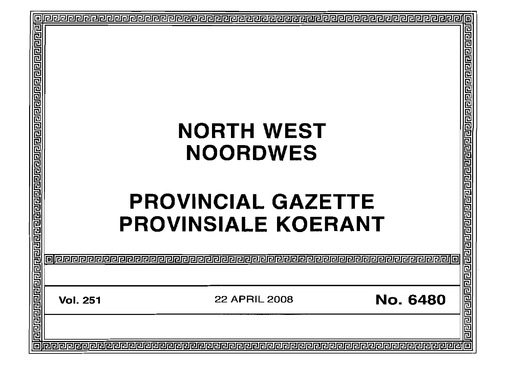|                                                               |                 |                                         | o                     |
|---------------------------------------------------------------|-----------------|-----------------------------------------|-----------------------|
|                                                               |                 |                                         |                       |
|                                                               |                 |                                         |                       |
|                                                               |                 | <b>NORTH WEST</b>                       |                       |
| <u> बागवाचाचा बागवाचाचाचा बागवाचाचाचाचाचाचाचाचाचाचाचाचाचा</u> |                 | <b>NOORDWES</b>                         |                       |
|                                                               |                 | <b>PROVINCIAL GAZETTE</b>               |                       |
|                                                               |                 | <b>PROVINSIALE KOERANT</b>              |                       |
|                                                               |                 |                                         | واوام واواواواه واواق |
|                                                               | <b>Vol. 251</b> | <b>No. 6480</b><br><b>22 APRIL 2008</b> |                       |
|                                                               |                 |                                         |                       |
|                                                               |                 |                                         |                       |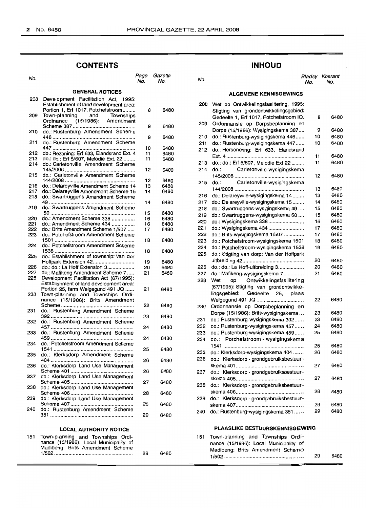# **CONTENTS**

#### No.<br>No. Page Gazette **GENERAL NOTICES** Development Facilitation Act, 1995: Establishment of land development area: Portion 1, Erf 1017, Potchefstroom 8 Town-planning and Townships Ordinance (15/1986): Amendment Scheme 387 9 do.: Rustenburg Amendment Scheme 446.......................................................... 9 do.: Rustenburg Amendment Scheme 447.......................................................... 10 212 do.: Rezoning: Erf 633, Elandsrand Ext. 4 11<br>213 do.: do.: Erf 5/607, Melodie Ext. 22 ........ 11 213 do.: do.: Erf 5/607, Melodie Ext. 22........<br>214 do.: Carletonville Amendment Scheme do.: Carletonville Amendment Scheme 145/2005 12 do.: Carletonville Amendment Scheme 144/2008 12 216 do.: Delareyville Amendment Scheme 14 13<br>217 do.: Delareyville Amendment Scheme 15 14 217 do.: Delareyville Amendment Scheme 15<br>218 do.: Swartruggens Amendment Scheme do.: Swartruggens Amendment Scheme 49............................................................ 14 do.: Swartruggens Amendment Scheme 50........................................................... 15 do.: Amendment Scheme 338 16 221 do.: Amendment Scheme 434 ................<br>222 do : Brits Amendment Scheme 1/507 222 do.: Brits Amendment Scheme 1/507 ..... 17<br>223 do.: Potchefstroom Amendment Scheme do.: Potchefstroom Amendment Scheme 18 do.: Potchefstroom Amendment Scheme 1538........................................................ 18 do.: Establishment of township: Van der Hoffpark Extension 42............................. 19 do.: do.: La Hoff Extension 3................... 20 227 do.: Mafikeng Amendment Scheme 7.....<br>228 Development Facilitation Act (67/1995): Development Facilitation Act (67/1995): Establishment of land development area: Portion 25, farm Welgegund 491 JQ ...... 21 Town-planning and Townships Ordinance (15/1986): Brits Amendment Scheme................................................... 22 do.: Rustenburg Amendment Scheme 392.......................................................... 23 do.: Rustenburg Amendment Scheme 457.......................................................... 24 do.: Rustenburg Amendment Scheme 459.......................................................... 24 do.: Potchefstroom Amendment Scheme 1541........................................................ 25 do.: Klerksdorp Amendment Scheme 404.......................................................... 26 do.: Klerksdorp Land Use Management Scheme 401 26 do.: Klerksdorp Land Use Management Scheme 405............................................ 27 do.: Klerksdorp Land Use Management Scheme *406..........* 28 do.: Klerksdorp Land Use Management Scheme 407............................................ 28 do.: Rustenburg Amendment Scheme 351.......................................................... 29 **LOCAL AUTHORITY NOTICE**

|  | 151 Town-planning and Townships Ordi-  |    |      |
|--|----------------------------------------|----|------|
|  | nance (15/1986): Local Municipality of |    |      |
|  | Madibeng: Brits Amendment Scheme       |    |      |
|  |                                        | 29 | 6480 |

# **INHOUD**

No. No. No. 8/adsy Koerant No. No.

#### **ALGEMENE KENNISGEWINGS**

| 208 | Wet op Ontwikkelingsfasilitering, 1995:<br>Stigting van grondontwikkelingsgebied: |    |      |
|-----|-----------------------------------------------------------------------------------|----|------|
| 209 | Gedeelte 1, Erf 1017, Potchefstroom IQ.<br>Ordonnansie op Dorpsbeplanning en      | 8  | 6480 |
|     | Dorpe (15/1986): Wysigingskema 387                                                | 9  | 6480 |
| 210 | do.: Rustenburg-wysigingskema 446                                                 | 10 | 6480 |
| 211 | do.: Rustenburg-wysigingskema 447                                                 | 10 | 6480 |
| 212 | do.: Hersonering: Erf 633, Elandsrand                                             |    |      |
|     |                                                                                   | 11 | 6480 |
| 213 | do.: do.: Erf 5/607, Melodie Ext 22                                               | 11 | 6480 |
| 214 | Carletonville-wysigingskema<br>do.:                                               |    |      |
|     |                                                                                   | 12 | 6480 |
| 215 | Carletonville-wysigingskema<br>do :                                               |    |      |
|     |                                                                                   | 13 | 6480 |
| 216 | do.: Delareyville-wysigingskema 14                                                | 13 | 6480 |
| 217 | do.: Delareyville-wysigingskema 15                                                | 14 | 6480 |
| 218 | do.: Swartruggens-wysigingskema 49                                                | 15 | 6480 |
| 219 | do.: Swartruggens-wysigingskema 50                                                | 15 | 6480 |
| 220 | do.: Wysigingskema 338                                                            | 16 | 6480 |
| 221 | do.: Wysigingskema 434                                                            | 17 | 6480 |
| 222 | do.: Brits-wysigingskema 1/507                                                    | 17 | 6480 |
| 223 | do.: Potchefstroom-wysigingskema 1501                                             | 18 | 6480 |
| 224 | do.: Potchefstroom-wysigingskema 1538                                             | 19 | 6480 |
| 225 | do.: Stigting van dorp: Van der Hoffpark                                          |    |      |
|     |                                                                                   | 20 | 6480 |
| 226 | do.: do.: La Hoff-uitbreiding 3                                                   | 20 | 6480 |
| 227 | do.: Mafikeng-wysigingskema 7                                                     | 21 | 6480 |
| 228 | Wet<br>op Ontwikkelingsfasilitering                                               |    |      |
|     | (67/1995): Stigting van grondontwikke-                                            |    |      |
|     | linasaebied:<br>Gedeelte 25,<br>plaas                                             |    |      |
|     |                                                                                   | 22 | 6480 |
| 230 | Ordonnansie op Dorpsbeplanning en                                                 |    |      |
|     | Dorpe (15/1986): Brits-wysigingskema                                              | 23 | 6480 |
| 231 | do.: Rustenburg-wysigingskema 392                                                 | 23 | 6480 |
| 232 | do.: Rustenburg-wysigingskema 457                                                 | 24 | 6480 |
| 233 | do.: Rustenburg-wysigingskema 459                                                 | 25 | 6480 |
| 234 | Potchefstroom - wysigingskema<br>do.:                                             |    |      |
|     |                                                                                   | 25 | 6480 |
| 235 | do.: Klerksdorp-wysigingskema 404                                                 | 26 | 6480 |
| 236 | do.: Klerksdorp - grondgebruiksbestuur-                                           |    |      |
|     |                                                                                   | 27 | 6480 |
| 237 | Klerksdorp - grondgebruiksbestuur-<br>do.: I                                      |    |      |
|     |                                                                                   | 27 | 6480 |
| 238 | do.: Klerksdorp - grondgebruiksbestuur-                                           |    |      |
|     |                                                                                   | 28 | 6480 |
| 239 | do.: Klerksdorp - grondgebruiksbestuur-                                           |    |      |
|     |                                                                                   | 29 | 6480 |
| 240 | do.: Rustenburg-wysigingskema 351                                                 | 29 | 6480 |

#### **PLAASLIKE BESTUURSKENNISGEWING**

| 151 Town-planning and Townships Ordi-  |    |      |
|----------------------------------------|----|------|
| nance (15/1986): Local Municipality of |    |      |
| Madibeng: Brits Amendment Scheme       |    |      |
|                                        | 29 | 6480 |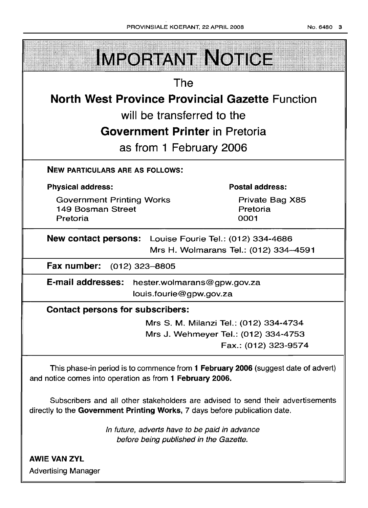| PHOVINSIALE KOEHANT, 22 APHIL 2008                                | NO. 6480                               | - 31 |  |
|-------------------------------------------------------------------|----------------------------------------|------|--|
| <b>IMPORTANT NOTICE</b>                                           |                                        |      |  |
| The                                                               |                                        |      |  |
| <b>North West Province Provincial Gazette Function</b>            |                                        |      |  |
| will be transferred to the                                        |                                        |      |  |
| <b>Government Printer in Pretoria</b>                             |                                        |      |  |
| as from 1 February 2006                                           |                                        |      |  |
| <b>NEW PARTICULARS ARE AS FOLLOWS:</b>                            |                                        |      |  |
| <b>Physical address:</b>                                          | <b>Postal address:</b>                 |      |  |
| <b>Government Printing Works</b><br>149 Bosman Street<br>Pretoria | Private Bag X85<br>Pretoria<br>0001    |      |  |
| New contact persons: Louise Fourie Tel.: (012) 334-4686           |                                        |      |  |
|                                                                   | Mrs H. Wolmarans Tel.: (012) 334-4591  |      |  |
| Fax number: (012) 323-8805                                        |                                        |      |  |
| E-mail addresses:<br>hester.wolmarans@gpw.gov.za                  |                                        |      |  |
| louis.fourie@gpw.gov.za                                           |                                        |      |  |
| <b>Contact persons for subscribers:</b>                           |                                        |      |  |
|                                                                   | Mrs S. M. Milanzi Tel.: (012) 334-4734 |      |  |
|                                                                   | Mrs J. Wehmeyer Tel.: (012) 334-4753   |      |  |

Fax.: (012) 323-9574

This phase-in period is to commence from 1 February 2006 (suggest date of advert) and notice comes into operation as from 1 February 2006.

Subscribers and all other stakeholders are advised to send their advertisements directly to the Government Printing Works, 7 days before publication date.

> In future, adverts have to be paid in advance before being published in the Gazette.

AWIE VAN ZYL Advertising Manager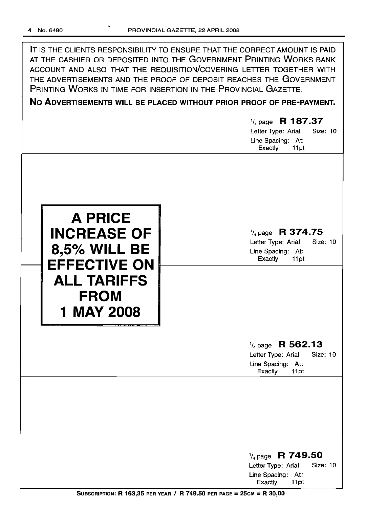| IT IS THE CLIENTS RESPONSIBILITY TO ENSURE THAT THE CORRECT AMOUNT IS PAID |
|----------------------------------------------------------------------------|
| AT THE CASHIER OR DEPOSITED INTO THE GOVERNMENT PRINTING WORKS BANK        |
| ACCOUNT AND ALSO THAT THE REQUISITION/COVERING LETTER TOGETHER WITH        |
| THE ADVERTISEMENTS AND THE PROOF OF DEPOSIT REACHES THE GOVERNMENT         |
| PRINTING WORKS IN TIME FOR INSERTION IN THE PROVINCIAL GAZETTE.            |

**No ADVERTISEMENTS WILL BE PLACED WITHOUT PRIOR PROOF OF PRE-PAYMENT.**

# 1/4 page **R 187.37** Letter Type: Arial Size: 10 Line Spacing: At: Exactly 11 pt **A PRICE INCREASE OF 8,50/0 WILL BE EFFECTIVE ON ALL TARIFFS FROM 1 MAY 2008** 1/4 page **R 374.75** Letter Type: Arial Size: 10 Line Spacing: At: Exactly 11pt 1/4 page **R 562.13** Letter Type: Arial Size: 10 Line Spacing: At: Exactly 11pt 1/4 page R **749.50** Letter Type: Arial Size: 10

Exactly 11pt SUBSCRIPTION: R 163,35 PER YEAR / R 749.50 PER PAGE = 25CM = R 30,00

Line Spacing: At: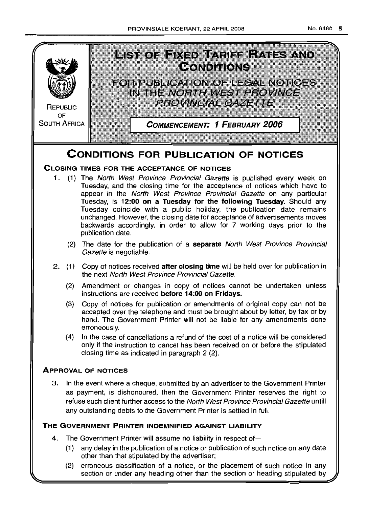

- (1) any delay in the publication of a notice or publication of such notice on any date other than that stipulated by the advertiser;
- (2) erroneous classification of a notice, or the placement of such notice in any section or under any heading other than the section or heading stipulated by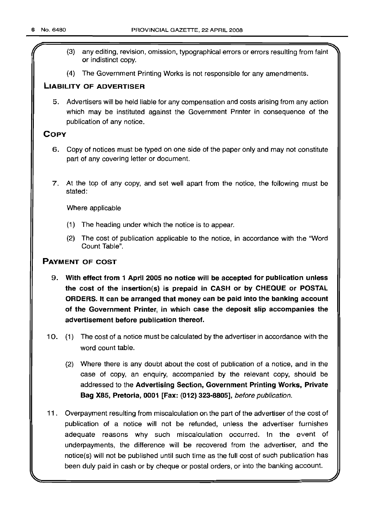- ?' (3) any editing, revision, omission, typographical errors or errors resulting from faint or indistinct copy.
- (4) The Government Printing Works is not responsible for any amendments.

# **LIABILITY OF ADVERTISER**

5. Advertisers will be held liable for any compensation and costs arising from any action which may be instituted against the Government Printer in consequence of the publication of any notice.

# **COpy**

- 6. Copy of notices must be typed on one side of the paper only and may not constitute part of any covering letter or document.
- 7. At the top of any copy, and set well apart from the notice, the following must be stated:

Where applicable

- (1) The heading under which the notice is to appear.
- (2) The cost of publication applicable to the notice, in accordance with the "Word Count Table".

# **PAYMENT OF COST**

- 9. **With effect from 1 April 2005 no notice will be accepted for publication unless the cost of the insertion(s) is prepaid in CASH or by CHEQUE or POSTAL ORDERS. It can be arranged that money can be paid into the banking account of the Government Printer, in which case the deposit slip accompanies the advertisement before publication thereof.**
- 10. (1) The cost of a notice must be calculated by the advertiser in accordance with the word count table.
	- (2) Where there is any doubt about the cost of publication of a notice, and in the case of copy, an enquiry, accompanied by the relevant copy, should be addressed to the **Advertising Section, Government Printing Works, Private Bag X85, Pretoria, 0001 [Fax: (012) 323-8805],** before publication.
- 11. Overpayment resulting from miscalculation on the part of the advertiser of the cost of publication of a notice will not be refunded, unless the advertiser furnishes adequate reasons why such miscalculation occurred. In the event of underpayments, the difference will be recovered from the advertiser, and the notice(s) will not be published until such time as the full cost of such publication has been duly paid in cash or by cheque or postal orders, or into the banking account.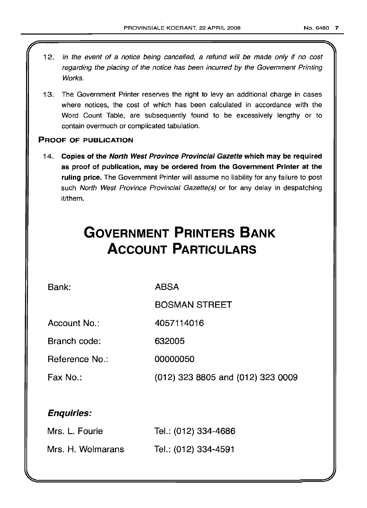- 12. In the event of a notice being cancelled, a refund will be made only if no cost regarding the placing of the notice has been incurred by the Government Printing Works.
- 13. The Government Printer reserves the right to levy an additional charge in cases where notices, the cost of which has been calculated in accordance with the Word Count Table, are subsequently found to be excessively lengthy or to contain overmuch or complicated tabulation.

# PROOF OF PUBLICATION

14. Copies of the North West Province Provincial Gazette which may be required as proof of publication, may be ordered from the Government Printer at the ruling price. The Government Printer will assume no liability for any failure to post such North West Province Provincial Gazette(s) or for any delay in despatching it/them.

# **GOVERNMENT PRINTERS BANK ACCOUNT PARTICULARS**

Bank:

ABSA

BOSMAN STREET

Account No.: 4057114016

Branch code: 632005

Reference No.: 00000050

Fax No.: (012) 323 8805 and (012) 323 0009

# Enquiries:

| Mrs. L. Fourie    | Tel.: (012) 334-4686 |
|-------------------|----------------------|
| Mrs. H. Wolmarans | Tel.: (012) 334-4591 |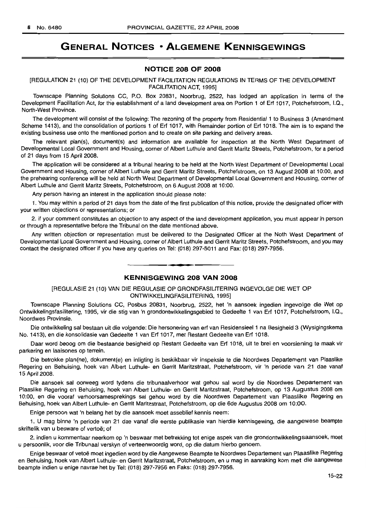# **GENERAL NOTICES • ALGEMENE KENNISGEWINGS**

# **NOTICE 208 OF 2008**

## [REGULATION 21 (10) OF THE DEVELOPMENT FACILITATION REGULATIONS IN TERMS OF THE DEVELOPMENT FACILITATION ACT, 1995]

Townscape Planning Solutions CC, P.O. Box 20831, Noorbrug, 2522, has lodged an application in terms of the Development Facilitation Act, for the establishment of a land development area on Portion 1 of Erf 1017, Potchefstroom, I.Q., North-West Province.

The development will consist of the following: The rezoning of the property from Residential 1 to Business 3 (Amendment Scheme 1413), and the consolidation of portions 1 of Erf 1017, with Remainder portion of Erf 1018. The aim is to expand the existing business use onto the mentioned portion and to create on site parking and delivery areas.

The relevant plan(s), document(s) and information are available for inspection at the North West Department of Developmental Local Government and Housing, corner of Albert Luthule and Gerrit Maritz Streets, Potchefstroom, for a period of 21 days from 15 April 2008.

The application will be considered at a tribunal hearing to be held at the North West Department of Developmental Local Government and Housing, corner of Albert Luthule and Gerrit Maritz Streets, Potchefstroom, on 13 August 2008 at 10:00, and the prehearing conference will be held at North West Department of Developmental Local Government and Housing, corner of Albert Luthule and Gerrit Maritz Streets, Potchefstroom, on 6 August 2008 at 10:00.

Any person having an interest in the application should please note:

1. You may within a period of 21 days from the date of the first publication of this notice, provide the designated officer with your written objections or representations; or

2. if your comment constitutes an objection to any aspect of the land development application, you must appear in person or through a representative before the Tribunal on the date mentioned above.

Any written objection or representation must be delivered to the Designated Officer at the Noth West Department of Developmental Local Government and Housing, corner of Albert Luthule and Gerrit Maritz Streets, Potchefstroom, and you may contact the designated officer if you have any queries on Tel: (018) 297-5011 and Fax: (018) 297-7956.

# **KENNISGEWING 208 VAN 2008**

**.-**

[REGULASIE 21 (10) VAN DIE REGULASIE OP GRONDFASILITERING INGEVOLGE DIE WET OP ONTWIKKELINGFASILITERING, 1995]

Townscape Planning Solutions CC, Posbus 20831, Noorbrug, 2522, het 'n aansoek ingedien ingevolge die Wet op Ontwikkelingsfasifitering, 1995, vir die stig van 'n grondontwikkelingsgebied te Gedeelte 1 van Erf 1017, Potchefstroom, I.Q., Noordwes Provinsie.

Die ontwikkeling sal bestaan uit die volgende: Die hersonering van erf van Residensieel 1 na Besigheid 3 (Wysigingskema No. 1413), en die konsolidasie van Gedeelte 1 van Erf 1017, met Restant Gedeelte van Erf 1018.

Daar word beoog om die bestaande besigheid op Restant Gedeelte van Erf 1018, uit te brei en voorsiening te maak vir parkering en laaisones op terrein.

Die betrokke plan(ne), dokument(e) en inligting is beskikbaar vir inspeksie te die Noordwes Departement van Plaaslike Regering en Behuising, hoek van Albert Luthule- en Gerrit Maritzstraat, Potchefstroom, vir 'n periode van 21 dae vanaf 15 April 2008.

Die aansoek sal oorweeg word tydens die tribunaalverhoor wat gehou sal word by die Noordwes Departement van Plaaslike Regering en Behuising, hoek van Albert Luthule- en Gerrit Maritzstraat, Potchefstroom, op 13 Augustus 2008 am 10:00, en die vooraf verhoorsamesprekings sal gehou word by die Noordwes Departement van Plaaslike Regering en Behuising, hoek van Albert Luthule- en Gerrit Maritzstraat, Potchefstroom, op die 6de Augustus 2008 om 10:00.

Enige persoon wat 'n belang het by die aansoek moet asseblief kennis neem:

1. U mag binne 'n periode van 21 dae vanaf die eerste publikasie van hierdie kennisgewing, die aangewese beampta skriftelik van u besware of vertoë: of

2. indien u kommentaar neerkom op 'n beswaar met betrekking tot enige aspek van die grondontwikkelingsaansoek, moet u persoonlik, voor die Tribunaal verskyn of verteenwoordig word, op die datum hierbo genoem.

Enige beswaar of vetoe moet ingedien word by die Aangewese Beampte te Noordwes Departement van Plaaslike Regering en Behuising, hoek van Albert Luthule- en Gerrit Maritzstraat, Potchefstroom, en u mag in aanraking kom met die aangewese beampte indien u enige navrae het by Tel: (018) 297-7956 en Faks: (018) 297-7956.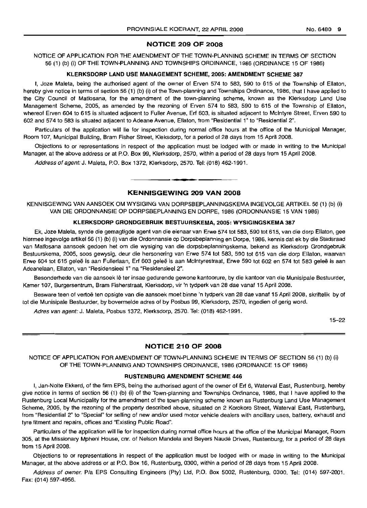#### NOTICE 209 OF 2008

NOTICE OF APPLICATION FOR THE AMENDMENT OF THE TOWN-PLANNING SCHEME IN TERMS OF SECTION 56 (1) (b) (i) OF THE TOWN-PLANNING AND TOWNSHIPS ORDINANCE, 1986 (ORDINANCE 15 OF 1986)

#### KLERKSDORP LAND USE MANAGEMENT SCHEME, 2005: AMENDMENT SCHEME 387

I, Joze Maleta, being the authorised agent of the owner of Erven 574 to 583, 590 to 615 of the Township of Ellaton, hereby give notice in terms of section 56 (1) (b) (i) of the Town-planning and Townships Ordinance, 1986, that I have applied to the City Council of Matlosana, for the amendment of the town-planning scheme, known as the Klerksdorp Land Use Management Scheme, 2005, as amended by the rezoning of Erven 574 to 583, 590 to 615 of the Township of Ellaton, whereof Erven 604 to 615 is situated adjacent to Fuller Avenue, Erf 603, is situated adjacent to Mcintyre Street, Erven 590 to 602 and 574 to 583 is situated adjacent to Adeane Avenue, Ellaton, from "Residential 1" to "Residential 2".

Particulars of the application will lie for inspection during normal office hours at the office of the Municipal Manager, Room 107, Municipal Building, Bram Fisher Street, Kleksdorp, for a period of 28 days from 15 April 2008.

Objections to or representations in respect of the application must be lodged with or made in writing to the Municipal Manager, at the above address or at P.O. Box 99, Klerksdorp, 2570, within a period of 28 days from 15 April 2008.

Address of agent: J. Maleta, P.O. Box 1372, Klerksdorp, 2570. Tel: (018) 462-1991.

# KENNISGEWING 209 VAN 2008

**I •**

KENNISGEWING VAN AANSOEK OM WYSIGING VAN DORPSBEPLANNINGSKEMA INGEVOLGE ARTIKEL 56 (1) (b) (i) VAN DIE ORDONNANSIE OP DORPSBEPLANNING EN DORPE, 1986 (ORDONNANSIE 15 VAN 1986)

#### KLERKSDORP GRONDGEBRUIK BESTUURSKEMA, 2005: WYSIGINGSKEMA 387

Ek, Joze Maleta, synde die gemagtigde agent van die eienaar van Erwe 574 tot 583, 590 tot 615, van die dorp Ellaton, gee hiermee ingevolge artikel56 (1) (b) (i) van die Ordonnansie op Dorpsbeplanning en Dorpe, 1986, kennis dat ek by die Stadsraad van Matlosana aansoek gedoen het om die wysiging van die dorpsbeplanningskema, bekend as Klerksdorp Grondgebruik Bestuurskema, 2005, soos gewysig, deur die hersonering van Erwe 574 tot 583, 590 tot 615 van die dorp Ellaton, waarvan Erwe 604 tot 615 geleë is aan Fullerlaan, Erf 603 geleë is aan McIntyrestraat, Erwe 590 tot 602 en 574 tot 583 geleë is aan Adeanelaan, Ellaton, van "Residensieel 1" na "Residensieel 2".

Besonderhede van die aansoek lê ter insae gedurende gewone kantoorure, by die kantoor van die Munisipale Bestuurder, Kamer 107, Burgersentrum, Bram Fisherstraat, Klerksdorp, vir 'n tydperk van 28 dae vanaf 15 April 2008.

Besware teen of vertoë ten opsigte van die aansoek moet binne 'n tydperk van 28 dae vanaf 15 April 2008, skriftelik by of tot die Munisipale Bestuurder, by bovermelde adres of by Posbus 99, Klerksdorp, 2570, ingedien of gerig word.

Adres van agent: J. Maleta, Posbus 1372, Klerksdorp, 2570. Tel: (018) 462-1991.

15-22

# NOTICE 210 OF 2008

NOTICE OF APPLICATION FOR AMENDMENT OF TOWN-PLANNING SCHEME IN TERMS OF SECTION 56 (1) (b) (i) OF THE TOWN-PLANNING AND TOWNSHIPS ORDINANCE, 1986 (ORDINANCE 15 OF 1986)

#### RUSTENBURG AMENDMENT SCHEME 446

I, Jan-Nolte Ekkerd, of the firm EPS, being the authorised agent of the owner of Erf 6, Waterval East, Rustenburg, hereby give notice in terms of section 56 (1) (b) (i) of the Town-planning and Townships Ordinance, 1986, that I have applied to the Rustenburg Local Municipality for the amendment of the town-planning scheme known as Rustenburg Land Use Management Scheme, 2005, by the rezoning of the property described above, situated on 2 Korokoro Street, Waterval East, Rustenburg, from "Residential 2" to "Special" for selling of new and/or used motor vehicle dealers with ancillary uses, battery, exhaust and tyre fitment and repairs, offices and "Existing Public Road".

Particulars of the application will lie for inspection during normal office hours at the office of the Municipal Manager, Room 305, at the Missionary Mpheni House, cnr, of Nelson Mandela and Beyers Naude Drives, Rustenburg, for a period of 28 days from 15 April 2008.

Objections to or representations in respect of the application must be lodged with or made in writing to the Municipal Manager, at the above address or at P.O. Box 16, Rustenburg, 0300, within a period of 28 days from 15 April 2008.

Address of owner: P/a EPS Consulting Engineers (Pty) Ltd, P.O. Box 5002, Rustenburg, 0300. Tel: (014) 597-2001. Fax: (014) 597-4956.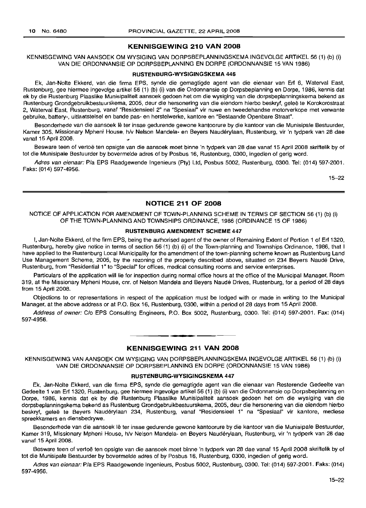# **KENNISGEWING 210 VAN 2008**

## KENNISGEWING VAN AANSOEK OM WYSIGING VAN DORPSBEPLANNINGSKEMA INGEVOLGE ARTIKEL 56 (1) (b) (i) VAN DIE ORDONNANSIE OP DORPSBEPLANNING EN DORPE (ORDONNANSIE 15 VAN 1986)

#### **RUSTENBURG-WYSIGINGSKEMA 446**

Ek, Jan-Nolte Ekkerd, van die firma EPS, synde die gemagtigde agent van die eienaar van Erf 6, Waterval East, Rustenburg, gee hiermee ingevolge artikel 56 (1) (b) (i) van die Ordonnansie op Dorpsbeplanning en Dorpe, 1986, kennis dat ek by die Rustenburg Plaaslike Munisipaliteit aansoek gedoen het om die wysiging van die dorpsbeplanningskema bekend as Rustenburg Grondgebruikbestuurskema, 2005, deur die hersonering van die eiendom hierbo beskryf, geleë te Korokorostraat 2, Waterval East, Rustenburg, vanaf "Residensieel 2" na "Spesiaal" vir nuwe en tweedehandse motorverkope met verwante gebruike, battery-, uitlaatstelsel en bande pas- en herstelwerke, kantore en "Bestaande Openbare Straat".

Besonderhede van die aansoek Ie ter insae gedurende gewone kantoorure by die kantoor van die Munisipale Bestuurder, Kamer 305, Missionary Mpheni House, h/v Nelson Mandela- en Beyers Naudérylaan, Rustenburg, vir 'n tydperk van 28 dae vanaf 15 April 2008.

Besware teen of vertoë ten opsigte van die aansoek moet binne 'n tydperk van 28 dae vanaf 15 April 2008 skriftelik by of tot die Munisipale Bestuurder by bovermelde adres of by Posbus 16, Rustenburg, 0300, ingedien of gerig word.

Adres van eienaar: P/a EPS Raadgewende Ingenieurs (Pty) Ltd, Posbus 5002, Rustenburg, 0300. Tel: (014) 597-2001. Faks: (014) 597-4956.

15-22

#### **NOTICE 211 OF 2008**

# NOTICE OF APPLICATION FOR AMENDMENT OF TOWN-PLANNING SCHEME IN TERMS OF SECTION 56 (1) (b) (i) OF THE TOWN-PLANNING AND TOWNSHIPS ORDINANCE, 1986 (ORDINANCE 15 OF 1986)

# **RUSTENBURG AMENDMENT SCHEME 447**

I, Jan-Nolte Ekkerd, of the firm EPS, being the authorised agent of the owner of Remaining Extent of Portion 1 of Erf 1320, Rustenburg, hereby give notice in terms of section 56 (1) (b) (i) of the Town-planning and Townships Ordinance, 1986, that I have applied to the Rustenburg Local Municipality for the amendment of the town-planning scheme known as Rustenburg Land Use Management Scheme, 2005, by the rezoning of the property described above, situated on 234 Beyers Naude Drive, Rustenburg, from "Residential 1" to "Special" for offices, medical consulting rooms and service enterprises.

Particulars of the application will lie for inspection during normal office hours at the office of the Municipal Manager, Room 319, at the Missionary Mpheni House, cnr, of Nelson Mandela and Beyers Naude Drives, Rustenburg, for a period of 28 days from 15 April 2008.

Objections to or representations in respect of the application must be lodged with or made in writing to the Municipal Manager, at the above address or at P.O. Box 16, Rustenburg, 0300, within a period of 28 days from 15 April 2008.

Address of owner: Clo EPS Consulting Engineers, P.O. Box 5002, Rustenburg, 0300. Tel: (014) 597-2001. Fax: (014) 597-4956.

# **• KENNISGEWING 211 VAN 2008**

KENNISGEWING VAN AANSOEK OM WYSIGING VAN DORPSBEPLANNINGSKEMA INGEVOLGE ARTIKEL 56 (1) (b) (i) VAN DIE ORDONNANSIE OP DORPSBEPLANNING EN DORPE (ORDONNANSIE 15 VAN 1986)

#### **RUSTENBURG-WYSIGINGSKEMA 447**

Ek, Jan-Nolte Ekkerd, van die firma EPS, synde die gemagtigde agent van die eienaar van Resterende Gedeelte van Gedeelte 1 van Erf 1320, Rustenburg, gee hiermee ingevolge artikel 56 (1) (b) (i) van die Ordonnansie op Dorpsbeplanning en Dorpe, 1986, kennis dat ek by die Rustenburg Plaaslike Munisipaliteit aansoek gedoen het om die wysiging van die dorpsbeplanningskema bekend as Rustenburg Grondgebruikbestuurskema, 2005, deur die hersonering van die eiendom hierbo beskryf, geleë te Beyers Naudérylaan 234, Rustenburg, vanaf "Residensieel 1" na "Spesiaal" vir kantore, mediese spreekkamers en diensbedrywe.

Besonderhede van die aansoek lê ter insae gedurende gewone kantoorure by die kantoor van die Munisipale Bestuurder, Kamer 319, Missionary Mpheni House, hlv Nelson Mandela- en Beyers Nauderylaan, Rustenburg, vir 'n tydperk van 28 dae vanaf 15 April 2008.

Besware teen of vertoë ten opsigte van die aansoek moet binne 'n tydperk van 28 dae vanaf 15 April 2008 skriftelik by of tot die Munisipale Bestuurder by bovermelde adres of by Posbus 16, Rustenburg, 0300, ingedien of gerig word.

Adres van eienaar: Pia EPS Raadgewende Ingenieurs, Posbus 5002, Rustenburg, 0300. Tel: (014) 597-2001. Faks: (014) 597-4956.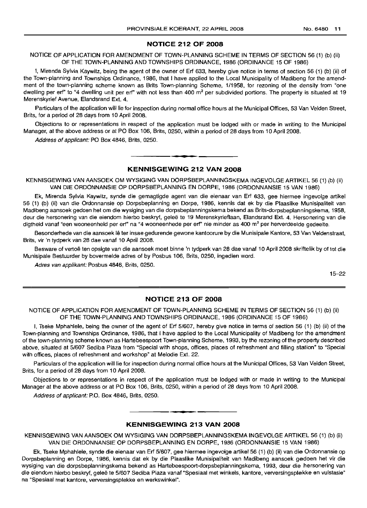# **NOTICE 212 OF 2008**

NOTICE OF APPLICATION FOR AMENDMENT OF TOWN-PLANNING SCHEME IN TERMS OF SECTION 56 (1) (b) (ii) OF THE TOWN-PLANNING AND TOWNSHIPS ORDINANCE, 1986 (ORDINANCE 15 OF 1986)

I, Mirenda Sylvia Kaywitz, being the agent of the owner of Ert 633, hereby give notice in terms of section 56 (1) (b) (ii) of the Town-planning and Townships Ordinance, 1986, that I have applied to the Local Municipality of Madibeng for the amendment of the town-planning scheme known as Brits Town-planning Scheme, 1/1958, for rezoning of the density from "one dwelling per erf" to "4 dwelling unit per erf" with not less than 400 m<sup>2</sup> per subdivided portions. The property is situated at 19 Merenskyrief Avenue, Elandsrand Ext. 4.

Particulars of the application will lie for inspection during normal office hours at the Municipal Offices, 53 Van Velden Street, Brits, for a period of 28 days from 10 April 2008.

Objections to or representations in respect of the application must be lodged with or made in writing to the Municipal Manager, at the above address or at PO Box 106, Brits, 0250, within a period of 28 days from 10 April 2008.

Address of applicant: PO Box 4846, Brits, 0250.

# **KENNISGEWING 212 VAN 2008**

**-**

KENNISGEWING VAN AANSOEK OM WYSIGING VAN DORPSBEPLANNINGSKEMA INGEVOLGE ARTIKEL 56 (1) (b) (ii) VAN DIE ORDONNANSIE OP DORPSBEPLANNING EN DORPE, 1986 (ORDONNANSIE 15 VAN 1986)

Ek, Mirenda Sylvia Kaywitz, synde die gemagtigde agent van die eienaar van Ert 633, gee hiermee ingevolge artikel 56 (1) (b) (ii) van die Ordonnansie op Dorpsbeplanning en Dorpe, 1986, kennis dat ek by die Plaaslike Munisipaliteit van Madibeng aansoek gedoen het om die wysiging van die dorpsbeplanningskema bekend as Brits-dorpsbeplanningskema, 1958, deur die hersonering van die eiendom hierbo beskryf, gelee te 19 Merenskyrieflaan, Elandsrand Ext. 4. Hersonering van die digtheid vanaf "een wooneenheid per erf" na "4 wooneenhede per erf" nie minder as 400 m<sup>2</sup> per herverdeelde gedeelte.

Besonderhede van die aansoek lê ter insae gedurende gewone kantoorure by die Munisipale Kantore, 53 Van Veldenstraat, Brits, vir 'n tydperk van 28 dae vanaf 10 April 2008.

Besware of vertoë ten opsigte van die aansoek moet binne 'n tydperk van 28 dae vanaf 10 April 2008 skriftelik by of tot die Munisipale Bestuurder by bovermelde adres of by Posbus 106, Brits, 0250, ingedien word.

Adres van applikant: Posbus 4846, Brits, 0250.

15-22

# **NOTICE 213 OF 2008**

NOTICE OF APPLICATION FOR AMENDMENT OF TOWN-PLANNING SCHEME IN TERMS OF SECTION 56 (1) (b) (ii) OF THE TOWN-PLANNING AND TOWNSHIPS ORDINANCE, 1986 (ORDINANCE 15 OF 1986)

I, Tseke Mphahlele, being the owner of the agent of Ert 5/607, hereby give notice in terms of section 56 (1) (b) (ii) of the Town-planning and Townships Ordinance, 1986, that I have applied to the Local Municipality of Madibeng for the amendment of the town-planning scheme known as Hartebeespoort Town-planning Scheme, 1993, by the rezoning of the property described above, situated at 5/607 Sediba Plaza from "Special with shops, offices, places of refreshment and filling station" to "Special with offices, places of refreshment and workshop" at Melodie Ext. 22.

Particulars of the application will lie for inspection during normal office hours at the Municipal Offices, 53 Van Velden Street, Brits, for a period of 28 days from 10 April 2008.

Objections to or representations in respect of the application must be lodged with or made in writing to the Municipal Manager at the above address or at PO Box 106, Brits, 0250, within a period of 28 days from 10 April 2008.

Address of applicant: P.O. Box 4846, Brits, 0250.

# **• KENNISGEWING 213 VAN 2008**

KENNISGEWING VAN AANSOEK OM WYSIGING VAN DORPSBEPLANNINGSKEMA INGEVOLGE ARTIKEL 56 (1) (b) (ii) VAN DIE ORDONNANSIE OP DORPSBEPLANNING EN DORPE, 1986 (ORDONNANSIE 15 VAN 1986)

Ek, Tseke Mphahlele, synde die eienaar van Ert 5/607, gee hiermee ingevolge artikel 56 (1) (b) (ii) van die Ordonnansie op Dorpsbeplanning en Dorpe, 1986, kennis dat ek by die Plaaslike Munisipaliteit van Madibeng aansoek gedoen het vir die wysiging van die dorpsbeplanningskema bekend as Hartebeespoort-dorpsbeplanningskema, 1993, deur die hersonering van die eiendom hierbo beskryf, geleë te 5/607 Sediba Plaza vanaf "Spesiaal met winkels, kantore, verversingsplekke en vulstasie" na "Spesiaal met kantore, verversingsplekke en werkswinkel".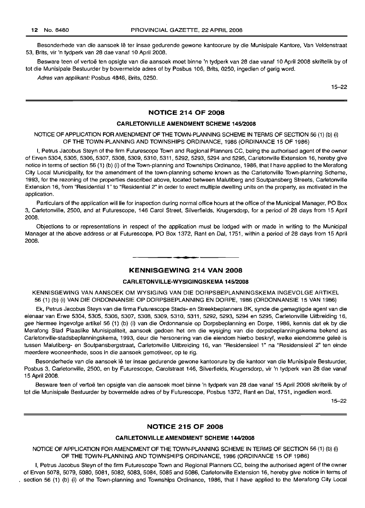Besonderhede van die aansoek Iê ter insae gedurende gewone kantoorure by die Munisipale Kantore, Van Veldenstraat 53, Brits, vir 'n tydperk van 28 dae vanaf 10 April 2008.

Besware teen of vertoë ten opsigte van die aansoek moet binne 'n tydperk van 28 dae vanaf 10 April 2008 skriftelik by of tot die Munisipale Bestuurder by bovermelde adres of by Posbus 106, Brits, 0250, ingedien of gerig word.

Adres van applikant: Posbus 4846, Brits, 0250.

15-22

# **NOTICE 214 OF 2008**

#### **CARLETONVILLE AMENDMENT SCHEME 145/2008**

NOTICE OF APPLICATION FOR AMENDMENT OF THE TOWN-PLANNING SCHEME IN TERMS OF SECTION 56 (1) (b) (i) OF **THE** TOWN-PLANNING AND TOWNSHIPS ORDINANCE, 1986 (ORDINANCE 15 OF 1986)

I, Petrus Jacobus Steyn of the firm Futurescope Town and Regional Planners CC, being the authorised agent of the owner of Erven 5304, 5305, 5306, 5307, 5308, 5309, 5310, 5311, 5292, 5293, 5294 and 5295, Carletonville Extension 16, hereby give notice in terms of section 56 (1) (b) (i) of the Town-planning and Townships Ordinance, 1986, that I have applied to the Merafong City Local Municipality, far the amendment of the town-planning scheme known as the Carletonville Town-planning Scheme, 1993, for the rezoning of the properties described above, located between Malutiberg and Soutpansberg Streets, Carletonville Extension 16, from "Residential 1" to "Residential 2" in order to erect multiple dwelling units on the property, as motivated in the application.

Particulars of the application will lie for inspection during normal office hours at the office of the Municipal Manager, PO Box 3, Carletonville, 2500, and at Futurescope, 146 Carol Street, Silverfields, Krugersdorp, for a period of 28 days from 15 April 2008.

Objections to or representations in respect of the application must be lodged with or made in writing to the Municipal Manager at the above address ar at Futurescope, PO Box 1372, Rant en Dal, 1751, within a period of 28 days from 15 April 2008.

#### **KENNISGEWING 214 VAN 2008**

• **\_ a**

#### **CARLETONVILLE-WYSIGINGSKEMA 145/2008**

KENNISGEWING VAN AANSOEK OM WYSIGING VAN DIE DORPSBEPLANNINGSKEMA INGEVOLGE ARTIKEL 56 (1) (b) (i) VAN DIE ORDONNANSIE OP DORPSBEPLANNING EN DORPE, 1986 (ORDONNANSIE 15 VAN 1986)

Ek, Petrus Jacobus Steyn van die firma Futurescope Stads- en Streekbeplanners BK, synde die gemagtigde agent van die eienaar van Erwe 5304, 5305, 5306, 5307, 5308, 5309, 5310, 5311, 5292, 5293, 5294 en 5295, Carletonville Uitbreiding 16, gee hiermee ingevolge artikel 56 (1) (b) (i) van die Ordonnansie op Dorpsbeplanning en Darpe, 1986, kennis dat ek by die Merafong Stad Plaaslike Munisipaliteit, aansoek gedoen het om die wysiging van die dorpsbeplanningskema bekend as Carletonville-stadsbeplanningskema, 1993, deur die hersonering van die eiendom hierbo beskryf, welke eiendomme geleë is tussen Malutiberg- en Soutpansbergstraat, Carletonville Uitbreiding 16, van "Residensieel 1" na "Residensieel 2" ten einde meerdere wooneenhede, soos in die aansoek gemotiveer, op te rig.

Besonderhede van die aansoek lê ter insae gedurende gewone kantoorure by die kantoor van die Munisipale Bestuurder, Posbus 3, Carletonville, 2500, en by Futurescope, Carolstraat 146, Silverfields, Krugersdorp, vir 'n tydperk van 28 dae vanaf 15 April 2008.

Besware teen of vertoë ten opsigte van die aansoek moet binne 'n tydperk van 28 dae vanaf 15 April 2008 skriftelik by of tot die Munisipale Bestuurder by bovermelde adres of by Futurescope, Posbus 1372, Rant en Dal, 1751, ingedien ward.

15-22

#### **NOTICE 215 OF 2008**

#### **CARLETONVILLE AMENDMENT SCHEME 144/2008**

NOTICE OF APPLICATION FOR AMENDMENT OF THE TOWN-PLANNING SCHEME IN TERMS OF SECTION 56 (1) (b) (i) OF THE TOWN-PLANNING AND TOWNSHIPS ORDINANCE, 1986 (ORDINANCE 15 OF 1986)

I, Petrus Jacobus Steyn of the firm Futurescope Town and Regional Planners CC, being the authorised agent of the owner of Erven 5078, 5079, 5080, 5081, 5082, 5083, 5084, 5085 and 5086, Carletonville Extension 16, hereby give notice in terms of section 56 (1) (b) (i) of the Town-planning and Townships Ordinance, 1986, that I have applied to the Merafong City Local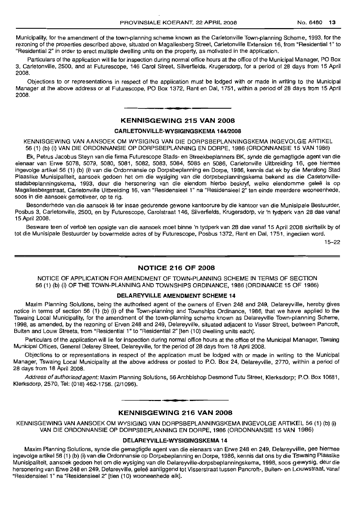Municipality, for the amendment of the town-planning scheme known as the Carletonville Town-planning Scheme, 1993, for the rezoning of the properties described above, situated on Magaliesberg Street, Carletonville Extension 16, from "Residential 1" to "Residential 2" in order to erect multiple dwelling units on the property, as motivated in the application.

Particulars of the application will lie for inspection during normal office hours at the office of the Municipal Manager, PO Box 3, Carletonville, 2500, and at Futurescope, 146 Carol Street, Silverfields, Krugersdorp, for a period of 28 days from 15 April 2008.

Objections to or representations in respect of the application must be lodged with or made in writing to the Municipal Manager at the above address or at Futurescope, PO Box 1372, Rant en Dal, 1751, within a period of 28 days from 15 April 2008.

# **KENNISGEWING 215 VAN 2008**

**• •**

#### **CARLETONVILLE-WYSIGINGSKEMA 144/2008**

KENNISGEWING VAN AANSOEK OM WYSIGING VAN DIE DORPSBEPLANNINGSKEMA INGEVOLGE ARTIKEL 56 (1) (b) (i) VAN DIE ORDONNANSIE OP DORPSBEPLANNING EN DORPE, 1986 (ORDONNANSIE 15 VAN 1986)

Ek, Petrus Jacobus Steyn van die firma Futurescope Stads- en Streekbeplanners BK, synde die gemagtigde agent van die eienaar van Erwe 5078, 5079, 5080, 5081, 5082, 5083, 5084, 5085 en 5086, Carletonville Uitbreiding 16, gee hiermee ingevolge artikel 56 (1) (b) (i) van die Ordonnansie op Dorpsbeplanning en Dorpe, 1986, kennis dat ek by die Merafong Stad Plaaslike Munisipaliteit, aansoek gedoen het om die wysiging van die dorpsbeplanningskema bekend as die Carletonvillestadsbeplanningskema, 1993, deur die hersonering van die eiendom hierbo beskryf, welke eiendomme gelee is op Magaliesbergstraat, Carletonville Uitbreiding 16, van "Residensieel 1" na "Residensieel 2" ten einde meerdere wooneenhede, soos in die aansoek gemotiveer, op te rig.

Besonderhede van die aansoek lê ter insae gedurende gewone kantoorure by die kantoor van die Munisipale Bestuurder, Posbus 3, Carletonville, 2500, en by Futurescope, Carolstraat 146, Silverfields, Krugersdorp, vir 'n tydperk van 28 dae vanaf 15 April 2008.

Besware teen of vertoë ten opsigte van die aansoek moet binne 'n tydperk van 28 dae vanaf 15 April 2008 skriftelik by of tot die Munisipale Bestuurder by bovermelde adres of by Futurescope, Posbus 1372, Rant en Dal, 1751, ingedien word.

15-22

# **NOTICE 216 OF 2008**

NOTICE OF APPLICATION FOR AMENDMENT OF TOWN-PLANNING SCHEME IN TERMS OF SECTION 56 (1) (b) (i) OF THE TOWN-PLANNING AND TOWNSHIPS ORDINANCE, 1986 (ORDINANCE 15 OF 1986)

#### **DELAREYVILLE AMENDMENT SCHEME 14**

Maxim Planning Solutions, being the authorised agent of the owners of Erven 248 and 249, Delareyville, hereby gives notice in terms of section 56 (1) (b) (i) of the Town-planning and Townships Ordinance, 1986, that we have applied to the Tswaing Local Municipality, for the amendment of the town-planning scheme known as Delareyville Town-planning Scheme, 1998, as amended, by the rezoning of Erven 248 and 249, Delareyville, situated adjacent to Visser Street, between Pancroft, Buiten and Louw Streets, from "Residential 1" to "Residential 2" [ten (10) dwelling units each].

Particulars of the application will lie for inspection during normal office hours at the office of the Municipal Manager, Tswaing Municipal Offices, General Delarey Street, Delareyville, for the period of 28 days from 18 April 2008.

Objections to or representations in respect of the application must be lodged with or made in writing to the Municipal Manager, Tswaing Local Municipality at the above address or posted to P.O. Box 24, Delareyville, 2770, within a period of 28 days from 18 April 2008.

Address of authorised agent: Maxim Planning Solutions, 56 Archbishop Desmond Tutu Street, Klerksdorp; P.O. Box 10681, Klerksdorp, 2570, Tel: (018) 462-1756. (2/1096).

# **• KENNISGEWING 216 VAN 2008**

KENNISGEWING VAN AANSOEK OM WYSIGING VAN DORPSBEPLANNINGSKEMA INGEVOLGE ARTIKEL 56 (1) (b) (i) VAN DIE ORDONNANSIE OP DORPSBEPLANNING EN DORPE, 1986 (ORDONNANSIE 15 VAN 1986)

#### **DELAREYVILLE-WYSIGINGSKEMA 14**

Maxim Planning Solutions, synde die gemagtigde agent van die eienaars van Erwe 248 en 249, Delareyville, gee hiermee ingevolge artikel 56 (1) (b) (i) van die Ordonnansie op Dorpsbeplanning en Dorpe, 1986, kennis dat ons by die Tswaing Plaaslike Munisipaliteit, aansoek gedoen het om die wysiging van die Delareyville-dorpsbeplanningskema, 1998, 5005 gewysig, deur die hersonering van Erwe 248 en 249, Delareyville, geleë aanliggend tot Visserstraat tussen Pancroft-, Buiten- en Louwstraat, vanaf "ResidensieeI1" na "ResidensieeI2" [tien (10) wooneenhede elk].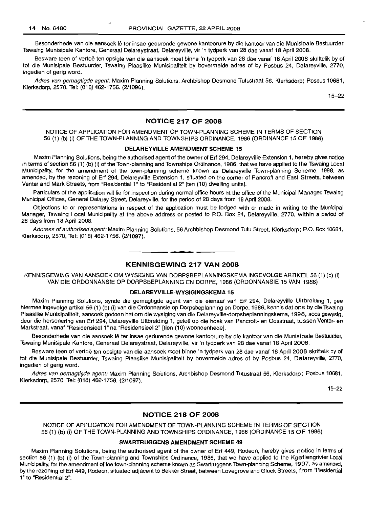Besonderhede van die aansoek lê ter insae gedurende gewone kantoorure by die kantoor van die Munisipale Bestuurder, Tswaing Munisipale Kantore, Generaal Delareystraat, Delareyville, vir 'n tydperk van 28 dae vanaf 18 April 2008.

Besware teen of vertoë ten opsigte van die aansoek moet binne 'n tydperk van 28 dae vanaf 18 April 2008 skriftelik by of tot die Munisipale Bestuurder, Tswaing Plaaslike Munisipaliteit by bovermelde adres of by Posbus 24, Delareyville, 2770, ingedien of gerig word.

Adres van gemagtigde agent: Maxim Planning Solutions, Archbishop Desmond Tutustraat 56, Klerksdorp; Posbus 10681, Klerksdorp, 2570. Tel: (018) 462-1756. (211096).

15-22

#### **NOTICE 217 OF 2008**

#### NOTICE OF APPLICATION FOR AMENDMENT OF TOWN-PLANNING SCHEME IN TERMS OF SECTION 56 (1) (b) (i) OF THE TOWN-PLANNING AND TOWNSHIPS ORDINANCE, 1986 (ORDINANCE 15 OF 1986)

#### **DELAREYVILLE AMENDMENT SCHEME 15**

Maxim Planning Solutions, being the authorised agent of the owner of Erf 294, Delareyville Extension 1, hereby gives notice in terms of section 56 (1) (b) (i) of the Town-planning and Townships Ordinance, 1986, that we have applied to the Tswaing Local Municipality, for the amendment of the town-planning scheme known as Delareyville Town-planning Scheme, 1998, as amended, by the rezoning of Erf 294, Delareyville Extension 1, situated on the corner of Pancroft and East Streets, between Venter and Mark Streets, from "Residential 1" to "Residential 2" [ten (10) dwelling units].

Particulars of the application will lie for inspection during normal office hours at the office of the Municipal Manager, Tswaing Municipal Offices, General Delarey Street, Delareyville, for the period of 28 days from 18 April 2008.

Objections to or representations in respect of the application must be lodged with or made in writing to the Municipal Manager, Tswaing Local Municipality at the above address or posted to P.O. Box 24, Delareyville, 2770, within a period of 28 days from 18 April 2008.

Address of authorised agent: Maxim Planning Solutions, 56 Archbishop Desmond Tutu Street, Klerksdorp; P.O. Box 10681, Klerksdorp, 2570, Tel: (018) 462-1756. (2/1097).

## **KENNISGEWING 217 VAN 2008**

**• •**

KENNISGEWING VAN AANSOEK OM WYSIGING VAN DORPSBEPLANNINGSKEMA INGEVOLGE ARTIKEL 56 (1) (b) (i) VAN DIE ORDONNANSIE OP DORPSBEPLANNING EN DORPE, 1986 (ORDONNANSIE 15 VAN 1986)

#### **DELAREYVILLE-WYSIGINGSKEMA 15**

Maxim Planning Solutions, synde die gemagtigde agent van die eienaar van Erf 294, Delareyville Uitbreiding 1, gee hiermee ingevolge artikel 56 (1) (b) (i) van die Ordonnansie op Dorpsbeplanning en Dorpe, 1986, kennis dat ons by die Tswaing Plaaslike Munisipaliteit, aansoek gedoen het om die wysiging van die Delareyville-dorpsbeplanningskema, 1998, soos gewysig, deur die hersonering van Erf 294, Delareyville Uitbreiding 1, gelee op die hoek van Pancroft- en Oosstraat, tussen Venter- en Markstraat, vanaf "Residensieel 1" na "Residensieel 2" [tien (10) wooneenhede].

Besonderhede van die aansoek Ie ter insae gedurende gewone kantoorure by die kantoor van die Munisipale Bestuurder, Tswaing Munisipale Kantore, Generaal Delareystraat, Delareyville, vir 'n tydperk van 28 dae vanaf 18 April 2008.

Besware teen of vertoë ten opsigte van die aansoek moet binne 'n tydperk van 28 dae vanaf 18 April 2008 skriftelik by of tot die Munisipale Bestuurder, Tswaing Plaaslike Munisipaliteit by bovermelde adres of by Posbus 24, Delareyville, 2770, ingedien of gerig word.

Adres van gemagtigde agent: Maxim Planning Solutions, Archbishop Desmond Tutustraat 56, Klerksdorp; Posbus 10681, Klerksdorp, 2570. Tel: (018) 462-1756. (2/1097).

15-22

#### **NOTICE 218 OF 2008**

NOTICE OF APPLICATION FOR AMENDMENT OF TOWN-PLANNING SCHEME IN TERMS OF SECTION 56 (1) (b) (i) OF THE TOWN-PLANNING AND TOWNSHIPS ORDINANCE, 1986 (ORDINANCE 15 OF 1986)

#### **SWARTRUGGENS AMENDMENT SCHEME 49**

Maxim Planning Solutions, being the authorised agent of the owner of Erf 449, Rodeon, hereby gives notice in terms of section 56 (1) (b) (i) of the Town-planning and Townships Ordinance, 1986, that we have applied to the Kgetlengrivier Local Municipality, for the amendment of the town-planning scheme known as Swartruggens Town-planning Scheme, 1997, as amended, by the rezoning of Erf 449, Rodeon, situated aqjacent to Bekker Street, between Lovegrove and Gluck Streets, from "Residential 1" to "Residential 2".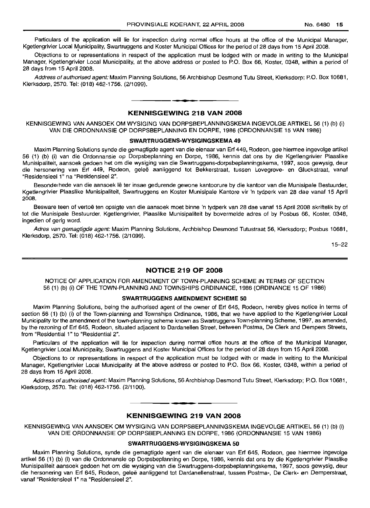Particulars of the application will lie for inspection during normal office hours at the office of the Municipal Manager, Kgetlengrivier Local Municipality, Swartruggens and Koster Municipal Offices for the period of 28 days from 15 April 2008.

Objections to or representations in respect of the application must be lodged with or made in writing to the Municipal Manager, Kgetlengrivier Local Municipality, at the above address or posted to P.O. Box 66, Koster, 0348, within a period of 28 days from 15 April 2008.

Address of authorised agent: Maxim Planning Solutions, 56 Archbishop Desmond Tutu Street, Klerksdorp; P.O. Box 10681, Klerksdorp, 2570. Tel: (018) 462-1756. (2/1099).

# **• KENNISGEWING 218 VAN 2008**

KENNISGEWING VAN AANSOEK OM WYSIGING VAN DORPSBEPLANNINGSKEMA INGEVOLGE ARTIKEL 56 (1) (b) (i) VAN DIE ORDONNANSIE OP DORPSBEPLANNING EN DORPE, 1986 (ORDONNANSIE 15 VAN 1986)

#### **SWARTRUGGENS-WVSIGINGSKEMA 49**

Maxim Planning Solutions synde die gemagtigde agent van die eienaar van Erf 449, Rodeon, gee hiermee ingevolge artikel 56 (1) (b) (i) van die Ordonnansie op Dorpsbeplanning en Dorpe, 1986, kennis dat ons by die Kgetlengrivier Plaaslike Munisipaliteit, aansoek gedoen het om die wysiging van die Swartruggens-dorpsbeplanningskema, 1997, soos gewysig, deur die hersonering van Erf 449, Rodeon, gelee aanliggend tot Bekkerstraat, tussen Lovegrove- en Gluckstraat, vanaf "Residensieel 1" na "Residensieel 2".

Besonderhede van die aansoek lê ter insae gedurende gewone kantoorure by die kantoor van die Munisipale Bestuurder, Kgetlengrivier Plaaslike Munisipaliteit, Swartruggens en Koster Munisipale Kantore vir 'n tydperk van 28 dae vanaf 15 April 2008.

Besware teen of vertoë ten opsigte van die aansoek moet binne 'n tydperk van 28 dae vanaf 15 April 2008 skriftelik by of tot die Munisipale Bestuurder, Kgetlengrivier, Plaaslike Munisipaliteit by bovermelde adres of by Posbus 66, Koster, 0348, ingedien of gerig word.

Adres van gemagtigde agent: Maxim Planning Solutions, Archbishop Desmond Tutustraat 56, Klerksdorp; Posbus 10681, Klerksdorp, 2570. Tel: (018) 462-1756. (2/1099).

15-22

#### **NOTICE 219 OF 2008**

NOTICE OF APPLICATION FOR AMENDMENT OF TOWN-PLANNING SCHEME IN TERMS OF SECTION 56 (1) (b) (i) OF THE TOWN-PLANNING AND TOWNSHIPS ORDINANCE, 1986 (ORDINANCE 15 OF 1986)

## **SWARTRUGGENS AMENDMENT SCHEME 50**

Maxim Planning Solutions, being the authorised agent of the owner of Erf 645, Rodeon, hereby gives notice in terms of section 56 (1) (b) (i) of the Town-planning and Townships Ordinance, 1986, that we have applied to the Kgetlengrivier Local Municipality for the amendment of the town-planning scheme known as Swartruggens Town-planning Scheme, 1997, as amended, by the rezoning of Erf 645, Rodeon, situated adjacent to Dardanellen Street, between Postma, De Clerk and Dempers Streets, from "Residential 1" to "Residential 2".

Particulars of the application will lie for inspection during normal office hours at the office of the Municipal Manager, Kgetlengrivier Local Municipality, Swartruggens and Koster Municipal Offices for the period of 28 days from 15 April 2008.

Objections to or representations in respect of the application must be lodged with or made in writing to the Municipal Manager, Kgetlengrivier Local Municipality at the above address or posted to P.O. Box 66, Koster, 0348, within a period of 28 days from 15 April 2008.

Address of authorised agent: Maxim Planning Solutions, 56 Archbishop Desmond Tutu Street, Klerksdorp; P.O. Box 10681, Klerksdorp, 2570. Tel: (018) 462-1756. (2/1100).

.**- .**

## **KENNISGEWING 219 VAN 2008**

KENNISGEWING VAN AANSOEK OM WYSIGING VAN DORPSBEPLANNINGSKEMA INGEVOLGE ARTIKEL 56 (1) (b) (i) VAN DIE ORDONNANSIE OP DORPSBEPLANNING EN DORPE, 1986 (ORDONNANSIE 15 VAN 1986)

#### **SWARTRUGGENS-WVSIGINGSKEMA 50**

Maxim Planning Solutions, synde die gemagtigde agent van die eienaar van Erf 645, Rodeon, gee hiermee ingevolge artikel 56 (1) (b) (i) van die Ordonnansie op Dorpsbeplanning en Dorpe, 1986, kennis dat ons by die Kgetlengrivier Plaaslike Munisipaliteit aansoek gedoen het om die wysiging van die Swartruggens-dorpsbeplanningskema, 1997, soos gewysig, deur die hersonering van Erf 645, Rodeon, geleë aanliggend tot Dardanellenstraat, tussen Postma-, De Clerk- en Demperstraat, vanaf "Residensieel 1" na "Residensieel 2".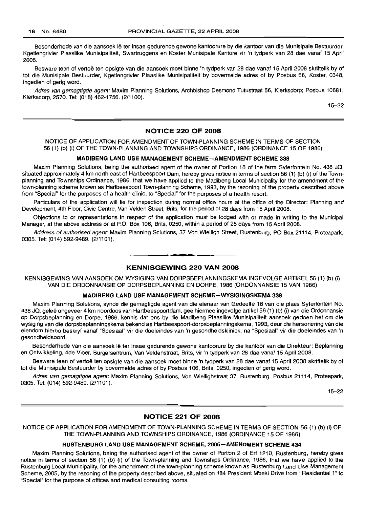Besonderhede van die aansoek lê ter insae gedurende gewone kantoorure by die kantoor van die Munisipale Bestuurder, Kgetlengrivier Plaaslike Munisipaliteit, Swartruggens en Koster Munisipale Kantore vir 'n tydperk van 28 dae vanaf 15 April 2008.

Besware teen of vertoë ten opsigte van die aansoek moet binne 'n tydperk van 28 dae vanaf 15 April 2008 skriftelik by of tot die Munisipale Bestuurder, Kgetlengrivier Plaaslike Munisipaliteit by bovermelde adres of by Posbus 66, Koster, 0348, ingedien of gerig word.

Adres van gemagtigde agent: Maxim Planning Solutions, Archbishop Desmond Tutustraat 56, Klerksdorp; Posbus 10681, Klerksdorp, 2570. Tel: (018) 462-1756. (2/1100).

15-22

# **NOTICE 220 OF 2008**

#### NOTICE OF APPLICATION FOR AMENDMENT OF TOWN-PLANNING SCHEME IN TERMS OF SECTION 56 (1) (b) (i) OF THE TOWN-PLANNING AND TOWNSHIPS ORDINANCE, 1986 (ORDINANCE 15 OF 1986)

#### **MADIBENG LAND USE MANAGEMENT SCHEME-AMENDMENT SCHEME 338**

Maxim Planning Solutions, being the authorised agent of the owner of Portion 18 of the farm Syferfontein No. 438 JQ, situated approximately 4 km north east of Hartbeespoort Dam, hereby gives notice in terms of section 56 (1) (b) (i) of the Townplanning and Townships Ordinance, 1986, that we have applied to the Madibeng Local Municipality for the amendment of the town-planning scheme known as Hartbeespoort Town-planning Scheme, 1993, by the rezoning of the property described above from "Special" for the purposes of a health clinic, to "Special" for the purposes of a health resort.

Particulars of the application will lie for inspection during normal office hours at the office of the Director: Planning and Development, 4th Floor, Civic Centre, Van Velden Street, Brits, for the period of 28 days from 15 April 2008.

Objections to or representations in respect of the application must be lodged with or made in writing to the Municipal Manager, at the above address or at P.O. Box 106, Brits, 0250, within a period of 28 days from 15 April 2008.

Address of authorised agent: Maxim Planning Solutions, 37 Von Wielligh Street, Rustenburg, PO Box 21114, Proteapark, 0305. Tel: (014) 592-9489. (2/1101).

# **• KENNISGEWING 220 VAN 2008**

KENNISGEWING VAN AANSOEK OM WYSIGING VAN DORPSBEPLANNINGSKEMA INGEVOLGE ARTIKEL 56 (1) (b) (i) VAN DIE ORDONNANSIE OP DORPSBEPLANNING EN DORPE, 1986 (ORDONNANSIE 15 VAN 1986)

#### **MADIBENG LAND USE MANAGEMENT SCHEME-WYSIGINGSKEMA 338**

Maxim Planning Solutions, synde die gemagtigde agent van die eienaar van Gedeelte 18 van die plaas Syferfontein No. 438 JQ, gelee ongeveer 4 km noordoos van Hartbeespoortdam, gee hiermee ingevolge artikel 56 (1) (b) (i) van die Ordonnansie op Dorpsbeplanning en Dorpe, 1986, kennis dat ons by die Madibeng Plaaslike Munisipaliteit aansoek gedoen het om die wysiging van die dorpsbeplanningskema bekend as Hartbeespoort-dorpsbeplanningskema, 1993, deur die hersonering van die eiendom hierbo beskryf vanaf "Speslaal" vir die doeleindes van 'n gesondheidskliniek, na "Spesiaal" vir die doeleindes van 'n gesondheidsoord.

Besonderhede van die aansoek lê ter insae gedurende gewone kantoorure by die kantoor van die Direkteur: Beplanning en Ontwikkeling, 4de Vloer, Burgersentrum, Van Veldenstraat, Brits, vir 'n tydperk van 28 dae vanaf 15 April 2008.

Besware teen of vertoë ten opsigte van die aansoek moet binne 'n tydperk van 28 dae vanaf 15 April 2008 skriftelik by of tot die Munisipale Bestuurder by bovermelde adres of by Posbus 106, Brits, 0250, ingedien of gerig word.

Adres van gemagtigde agent: Maxim Planning Solutions, Von Wiellighstraat 37, Rustenburg, Posbus 21114, Proteapark, 0305. Tel: (014) 592-9489. (2/1101).

15-22

#### **NOTICE 221 OF 2008**

NOTICE OF APPLICATION FOR AMENDMENT OF TOWN-PLANNING SCHEME IN TERMS OF SECTION 56 (1) (b) (i) OF THE TOWN-PLANNING AND TOWNSHIPS ORDINANCE, 1986 (ORDINANCE 15 OF 1986)

# **RUSTENBURG LAND USE MANAGEMENT SCHEME, 200S-AMENDMENT SCHEME 434**

Maxim Planning Solutions, being the authorised agent of the owner of Portion 2 of Erf 1210, Rustenburg, hereby gives notice in terms of section 56 (1) (b) (i) of the Town-planning and Townships Ordinance, 1986, that we have applied to the Rustenburg Local Municipality, for the amendment of the town-planning scheme known as Rustenburg Land Use Management Scheme, 2005, by the rezoning of the property described above, situated on 184 President Mbeki Drive from "Residential 1" to "Special" for the purpose of offices and medical consulting rooms.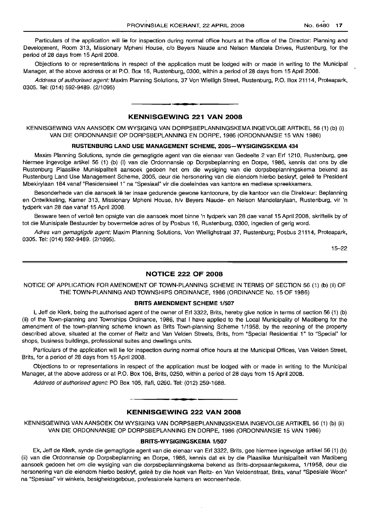Particulars of the application will lie for inspection during normal office hours at the office of the Director: Planning and Development, Room 313, Missionary Mpheni House, c/o Beyers Naude and Nelson Mandela Drives, Rustenburg, for the period of 28 days from 15 April 2008.

Objections to or representations in respect of the application must be lodged with or made in writing to the Municipal Manager, at the above address or at P.O. Box 16, Rustenburg, 0300, within a period of 28 days from 15 April 2008.

Address of authorised agent: Maxim Planning Solutions, 37 Von Wielligh Street, Rustenburg, P.O. Box 21114, Proteapark, 0305. Tel: (014) 592-9489. (2/1095)

# **• KENNISGEWING 221 VAN 2008**

KENNISGEWING VAN AANSOEK OM WYSIGING VAN DORPSBEPLANNINGSKEMA INGEVOLGE ARTIKEL 56 (1) (b) (i) VAN DIE ORDONNANSIE OP DORPSBEPLANNING EN DORPE, 1986 (ORDONNANSIE 15 VAN 1986)

#### **RUSTENBURG LAND USE MANAGEMENT SCHEME, 2005-WYSIGINGSKEMA 434**

Maxim Planning Solutions, synde die gemagtigde agent van die eienaar van Gedeelte 2 van Erf 1210, Rustenburg, gee hiermee ingevolge artikel 56 (1) (b) (i) van die Ordonnansie op Dorpsbeplanning en Dorpe, 1986, kennis dat ons by die Rustenburg Plaaslike Munisipaliteit aansoek gedoen het om die wysiging van die dorpsbeplanningskema bekend as Rustenburg Land Use Management Scheme, 2005, deur die hersonering van die eiendom hierbo beskryf, geleë te President Mbekirylaan 184 vanaf "Residensieel 1" na "Spesiaal" vir die doeleindes van kantore en mediese spreekkamers.

Besonderhede van die aansoek Ie ter insae gedurende gewone kantoorure, by die kantoor van die Direkteur: Beplanning en Ontwikkeling, Kamer 313, Missionary Mpheni House, h/v Beyers Naude- en Nelson Mandelarylaan, Rustenburg, vir 'n tydperk van 28 dae vanaf 15 April 2008.

Besware teen of vertoë ten opsigte van die aansoek moet binne 'n tydperk van 28 dae vanaf 15 April 2008, skriftelik by of tot die Munisipale Bestuurder by bovermelde adres of by Posbus 16, Rustenburg, 0300, ingedien of gerig word.

Adres van gemagtigde agent: Maxim Planning Solutions, Von Wiellighstraat 37, Rustenburg; Posbus 21114, Proteapark, 0305. Tel: (014) 592-9489. (2/1095).

15-22

#### **NOTICE 222 OF 2008**

NOTICE OF APPLICATION FOR AMENDMENT OF TOWN-PLANNING SCHEME IN TERMS OF SECTION 56 (1) (b) (ii) OF THE TOWN-PLANNING AND TOWNSHIPS ORDINANCE, 1986 (ORDINANCE No. 15 OF 1986)

#### **BRITS AMENDMENT SCHEME 1/507**

I, Jeff de Klerk, being the authorised agent of the owner of Erf 3322, Brits, hereby give notice in terms of section 56 (1) (b) (ii) of the Town-planning and Townships Ordinance, 1986, that I have applied to the Local Municipality of Madibeng for the amendment of the town-planning scheme known as Brits Town-planning Scheme 1/1958, by the rezoning of the property described above, situated at the corner of Reitz and Van Velden Streets, Brits, from "Special Residential 1" to "Special" for shops, business buildings, professional suites and dwellings units.

Particulars of the application will lie for inspection during normal office hours at the Municipal Offices, Van Velden Street, Brits, for a period of 28 days from 15 April 2008.

Objections to or representations in respect of the application must be lodged with or made in writing to the Municipal Manager, at the above address or at P.O. Box 106, Brits, 0250, within a period of 28 days from 15 April 2008.

Address of authorised agent: PO Box 105, Ifafi, 0260. Tel: (012) 259-1688. .**-.**

## **KENNISGEWING 222 VAN 2008**

KENNISGEWING VAN AANSOEK OM WYSIGING VAN DORPSBEPLANNINGSKEMA INGEVOLGE ARTIKEL 56 (1) (b) (ii) VAN DIE ORDONNANSIE OP DORPSBEPLANNING EN DORPE, 1986 (ORDONNANSIE 15 VAN 1986)

#### **BRITS-WYSIGINGSKEMA 1/507**

Ek, Jeff de Klerk, synde die gemagtigde agent van die eienaar van Erf 3322, Brits, gee hiermee ingevolge artikel 56 (1) (b) (ii) van die Ordonnansie op Dorpsbeplanning en Dorpe, 1986, kennis dat ek by die Plaaslike Munisipaliteit van Madibeng aansoek gedoen het om die wysiging van die dorpsbeplanningskema bekend as Brits-dorpsaanlegskema, 1/1958, deur die hersonering van die eiendom hierbo beskryf, gelee by die hoek van Reitz- en Van Veldenstraat, Brits, vanaf "Spesiale Woon" na "Spesiaal" vir winkels, besigheidsgeboue, professionele kamers en wooneenhede.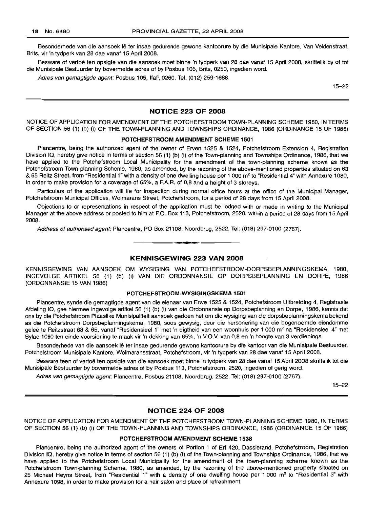Besonderhede van die aansoek lê ter insae gedurende gewone kantoorure by die Munisipale Kantore, Van Veldenstraat, Brits, vir 'n tydperk van 28 dae vanaf 15 April 2008.

Besware of vertoë ten opsigte van die aansoek moet binne 'n tydperk van 28 dae vanaf 15 April 2008, skriftelik by of tot die Munisipale Bestuurder by bovermelde adres of by Posbus 106, Brits, 0250, ingedien word.

Adres van gemagtigde agent: Posbus 105, Ifafi, 0260. Tel. (012) 259-1688.

15-22

#### NOTICE 223 OF 2008

NOTICE OF APPLICATION FOR AMENDMENT OF THE POTCHEFSTROOM TOWN-PLANNING SCHEME 1980, IN TERMS OF SECTION 56 (1) (b) (i) OF THE TOWN-PLANNING AND TOWNSHIPS ORDINANCE, 1986 (ORDINANCE 15 OF 1986)

#### POTCHEFSTROOM AMENDMENT SCHEME 1501

Plancentre, being the authorized agent of the owner of Erven 1525 & 1524, Potchefstroom Extension 4, Registration Division IQ, hereby give notice in terms of section 56 (1) (b) (i) of the Town-planning and Townships Ordinance, 1986, that we have applied to the Potchefstroom Local Municipality for the amendment of the town-planning scheme known as the Potchefstroom Town-planning Scheme, 1980, as amended, by the rezoning of the above-mentioned properties situated on 63 & 65 Reitz Street, from "Residential 1" with a density of one dwelling house per 1 000 m2 to "Residential 4" with Annexure 1080, in order to make provision for a coverage of 65%, a F.A.R. of 0,8 and a height of 3 storeys.

Particulars of the application will lie for inspection during normal office hours at the office of the Municipal Manager, Potchefstroom Municipal Offices, Wolmarans Street, Potchefstroom, for a period of 28 days from 15 April 2008.

Objections to or representations in respect of the application must be lodged with or made in writing to the Municipal Manager at the above address or posted to him at P.O. Box 113, Potchefstroom, 2520, within a period of 28 days from 15 April 2008.

Address of authorised agent: Plancentre, PO Box 21108, Noordbrug, 2522. Tel: (018) 297-0100 (2767).

# KENNISGEWING 223 VAN 2008

• **- I**

KENNISGEWING VAN AANSOEK OM WYSIGING VAN POTCHEFSTROOM-DORPSBEPLANNINGSKEMA, 1980, INGEVOLGE ARTIKEL 56 (1) (b) (i) VAN DIE ORDONNANSIE OP DORPSBEPLANNING EN DORPE, 1986 (ORDONNANSIE 15 VAN 1986)

#### POTCHEFSTROOM-WYSIGINGSKEMA 1501

Plancentre, synde die gemagtigde agent van die eienaar van Erwe 1525 & 1524, Potchefstroom Uitbreiding 4, Registrasie Afdeling IQ, gee hiermee ingevolge artikel 56 (1) (b) (i) van die Ordonnansie op Dorpsbeplanning en Dorpe, 1986, kennis dat ons by die Potchefstroom Plaaslike Munisipaliteit aansoek gedoen het om die wysiging van die dorpsbeplanningskema bekend as die Potchefstroom Dorpsbeplanningskema, 1980, soos gewysig, deur die hersonering van die bogenoemde eiendomme geleë te Reitzstraat 63 & 65, vanaf "Residensieel 1" met 'n digtheid van een woonhuis per 1 000 m<sup>2</sup> na "Residensieel 4" met Bylae 1080 ten einde voorsiening te maak vir 'n dekking van 65%, 'n V.O.V. van 0,8 en 'n hoogte van 3 verdiepings.

Besonderhede van die aansoek lê ter insae gedurende gewone kantoorure by die kantoor van die Munisipale Bestuurder, Potchefstroom Munisipale Kantore, Wolmaransstraat, Potchefstroom, vir 'n tydperk van 28 dae vanaf 15 April 2008.

Besware teen of vertoë ten opsigte van die aansoek moet binne 'n tydperk van 28 dae vanaf 15 April 2008 skriftelik tot die Munisipale Bestuurder by bovermelde adres of by Posbus 113, Potchefstroom, 2520, ingedien of gerig word.

Adres van gemagtigde agent: Plancentre, Posbus 21108, Noordbrug, 2522. Tel: (018) 297-0100 (2767).

15-22

# NOTICE 224 OF 2008

NOTICE OF APPLICATION FOR AMENDMENT OF THE POTCHEFSTROOM TOWN-PLANNING SCHEME 1980, IN TERMS OF SECTION 56 (1) (b) (i) OF THE TOWN-PLANNING AND TOWNSHIPS ORDINANCE, 1986 (ORDINANCE 15 OF 1986)

#### POTCHEFSTROOM AMENDMENT SCHEME 1538

Plancentre, being the authorized agent of the owners of Portion 1 of Erf 420, Dassierand, Potchefstroom, Registration Division IQ, hereby give notice in terms of section 56 (1) (b) (i) of the Town-planning and Townships Ordinance, 1986, that we have applied to the Potchefstroom Local Municipality for the amendment of the town-planning scheme known as the Potchefstroom Town-planning Scheme, 1980, as amended, by the rezoning of the above-mentioned property situated on 25 Michael Heyns Street, from "Residential 1" with a density of one dwelling house per 1 000 m<sup>2</sup> to "Residential 3" with Annexure 1098, in order to make provision for a hair salon and place of refreshment.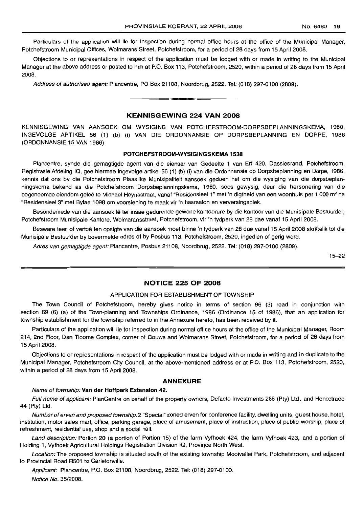Particulars of the application will lie for inspection during normal office hours at the office of the Municipal Manager, Potchefstroom Municipal Offices, Wolmarans Street, Potchefstroom, for a period of 28 days from 15 April 2008.

Objections to or representations in respect of the application must be lodged with or made in writing to the Municipal Manager at the above address or posted to him at P.O. Box 113, Potchefstroom, 2520, within a period of 28 days from 15 April 2008.

Address of authorised agent: Plancentre, PO Box 21108, Noordbrug, 2522. Tel: (018) 297-0100 (2809).

#### **KENNISGEWING 224 VAN 2008**

**•**

KENNISGEWING VAN AANSOEK OM WYSIGING VAN POTCHEFSTROOM-DORPSBEPLANNINGSKEMA, 1980, INGEVOLGE ARTIKEL 56 (1) (b) (i) VAN DIE ORDONNANSIE OP DORPSBEPLANNING EN DORPE, 1986 (ORDONNANSIE 15 VAN 1986)

#### **POTCHEFSTROOM-WYSIGINGSKEMA 1538**

Plancentre, synde die gemagtigde agent van die eienaar van Gedeelte 1 van Erf 420, Dassiesrand, Potchefstroom, Registrasie Afdeling 10, gee hiermee ingevolge artikel 56 (1) (b) (i) van die Ordonnansie op Dorpsbeplanning en Dorpe, 1986, kennis dat ons by die Potchefstroom Plaaslike Munisipaliteit aansoek gedoen het om die wysiging van die dorpsbeplanningskema bekend as die Potchefstroom Dorpsbeplanningskema, 1980, soos gewysig, deur die hersonering van die bogenoemde eiendom geleë te Michael Heynsstraat, vanaf "Residensieel 1" met 'n digtheid van een woonhuis per 1 000 m<sup>2</sup> na "Residensieel 3" met Bylae 1098 om voorsiening te maak vir 'n haarsalon en verversingsplek.

Besonderhede van die aansoek lê ter insae gedurende gewone kantoorure by die kantoor van die Munisipale Bestuurder, Potchefstroom Munisipale Kantore, Wolmaransstraat, Potchefstroom, vir 'n tydperk van 28 dae vanaf 15 April 2008.

Besware teen of vertoë ten opsigte van die aansoek moet binne 'n tydperk van 28 dae vanaf 15 April 2008 skriftelik tot die Munisipale Bestuurder by bovermelde adres of by Posbus 113, Potchefstroom, 2520, ingedien of gerig word.

Adres van gemagtigde agent: Plancentre, Posbus 21108, Noordbrug, 2522. Tel: (018) 297-0100 (2809).

15-22

#### **NOTICE 225 OF 2008**

#### APPLICATION FOR ESTABLISHMENT OF TOWNSHIP

The Town Council of Potchefstroom, hereby gives notice in terms of section 96 (3) read in conjunction with section 69 (6) (a) of the Town-planning and Townships Ordinance, 1986 (Ordinance 15 of 1986), that an application for township establishment for the township referred to in the Annexure hereto, has been received by it.

Particulars of the application will lie for inspection during normal office hours at the office of the Municipal Manager, Room 214, 2nd Floor, Dan Tloome Complex, corner of Gouws and Wolmarans Street, Potchefstroom, for a period of 28 days from 15 April 2008.

Objections to or representations in respect of the application must be lodged with or made in writing and in duplicate to the Municipal Manager, Potchefstroom City Council, at the above-mentioned address or at P.O. Box 113, Potchefstroom, 2520, within a period of 28 days from 15 April 2008.

#### **ANNEXURE**

# Name of township: **Van der Hoffpark Extension 42.**

Full name of applicant: PlanCentre on behalf of the property owners, Defacto Investments 288 (Pty) Ltd, and Hencetrade 44 (Pty) Ltd.

Number of erven and proposed township: 2 "Special" zoned erven for conference facility, dwelling units, quest house, hotel, institution, motor sales mart, office, parking garage, place of amusement, place of instruction, place of public worship, place of refreshment, residential use, shop and a social hall.

Land description: Portion 20 (a portion of Portion 15) of the farm Vyfhoek 424, the farm Vyfhoek 423, and a portion of Holding 1, Vyfhoek Agricultural Holdings Registration Division 10, Province North West.

Location: The proposed township is situated south of the existing township Mooivallei Park, Potchefstroom, and adjacent to Provincial Road R501 to Carletonville.

Applicant: Plancentre, P.O. Box 21108, Noordbrug, 2522. Tel: (018) 297-0100. Notice No. 35/2008.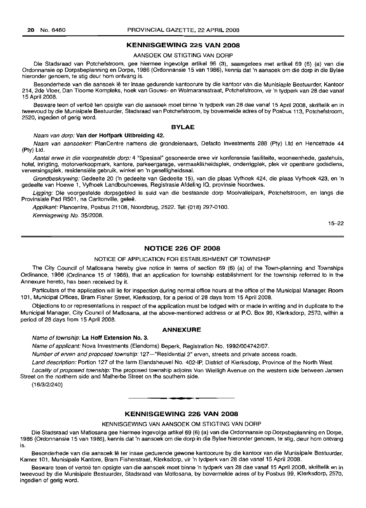#### KENNISGEWING 225 VAN 2008

#### AANSOEK OM STIGTING VAN DORP

Die Stadsraad van Potchefstroom, gee hiermee ingevolge artikel 96 (3), saamgelees met artikel 69 (6) (a) van die Ordonnansie op Dorpsbeplanning en Dorpe, 1986 (Ordonnansie 15 van 1986), kennis dat 'n aansoek om die dorp in die Bylae hieronder genoem, te stig deur hom ontvang is.

Besonderhede van die aansoek lê ter insae gedurende kantoorure by die kantoor van die Munisiaple Bestuurder, Kantoor 214, 2de Vloer, Dan Tloome Kompleks, hoek van Gouws- en Wolmaransstraat, Potchefstroom, vir 'n tydperk van 28 dae vanaf 15 April 2008.

Besware teen of vertoë ten opsigte van die aansoek moet binne 'n tydperk van 28 dae vanaf 15 April 2008, skriftelik en in tweevoud by die Munisipale Bestuurder, Stadsraad van Potchefstroom, by bovermelde adres of by Posbus 113, Potchefstroom, 2520, ingedien of gerig word.

#### BYLAE

Naam van dorp: Van der Hoffpark Uitbreiding 42.

Naam van aansoeker: PlanCentre namens die grondeienaars, Defacto Investments 288 (Pty) Ltd en Hencetrade 44 (Pty) Ltd.

Aantal erwe in die voorgestelde dorp: 4 "Spesiaal" gesoneerde erwe vir konferensie fasiliteite, wooneenhede, gastehuis, hotel, inrigting, motorverkoopmark, kantore, parkeergarage, vermaaklikheidsplek, onderrigplek, plek vir openbare godsdiens, verversingsplek, residensiele gebruik, winkel en 'n geselligheidsaal.

Grondbeskrywing: Gedeelte 20 ('n gedeelte van Gedeelte 15), van die plaas Vyfhoek 424, die plaas Vyfhoek 423, en 'n gedeelte van Hoewe 1, Vyfhoek Landbouhoewes, Registrasie Afdeling IQ, provinsie Noordwes.

Ligging: Die voorgestelde dorpsgebied is suid van die bestaande dorp Mooivalleipark, Potchefstroom, en langs die Provinsiale Pad R501, na Carltonville, geleë.

Applikant: Plancentre, Posbus 21108, Noordbrug, 2522. Tel: (018) 297-0100.

Kennisgewing No. 35/2008.

15-22

# NOTICE 226 OF 2008

### NOTICE OF APPLICATION FOR ESTABLISHMENT OF TOWNSHIP

The City Council of Matlosana hereby give notice in terms of section 69 (6) (a) of the Town-planning and Townships Ordinance, 1986 (Ordinance 15 of 1986), that an application for township establishment for the township referred to in the Annexure hereto, has been received by it.

Particulars of the application will lie for inspection during normal office hours at the office of the Municipal Manager, Room 101, Municipal Offices, Bram Fisher Street, Klerksdorp, for a period of 28 days from 15 April 2008.

Objections to or representations in respect of the application must be lodged with or made in writing and in duplicate to the Municipal Manager, City Council of Matlosana, at the above-mentioned address or at P.O. Box 99, Klerksdorp, 2570, within a period of 28 days from 15 April 2008.

#### ANNEXURE

Name of township: La Hoff Extension No.3.

Name of applicant: Nova Investments (Eiendoms) Beperk, Registration No. 1992/004742/07.

Number of erven and proposed township: 127-"Residential 2" erven, streets and private access roads.

Land description: Portion 127 of the farm Elandsheuvel No. 402-IP, District of Klerksdorp, Province of the North West.

Locality of proposed township: The proposed township adjoins Von Wielligh Avenue on the western side between Jansen Street on the northern side and Malherbe Street on the southern side.

(16/3/2/240)

# KENNISGEWING 226 VAN 2008

.**- .**

KENNISGEWING VAN AANSOEK OM STIGTING VAN DORP

Die Stadsraad van Matlosana gee hiermee ingevolge artikel 69 (6) (a) van die Ordonnansie op Dorpsbeplanning en Dorpe, 1986 (Ordonnansie 15 van 1986), kennis dat 'n aansoek om die dorp in die Bylae hieronder genoem, te stig, deur hom ontvang is.

Besonderhede van die aansoek lê ter insae gedurende gewone kantoorure by die kantoor van die Munisipale Bestuurder, Kamer 101, Munisipale Kantore, Bram Fisherstraat, Klerksdorp, vir 'n tydperk van 28 dae vanaf 15 April 2008.

Besware teen of vertoë ten opsigte van die aansoek moet binne 'n tydperk van 28 dae vanaf 15 April 2008, skriftelik en in tweevoud by die Munisipale Bestuurder, Stadsraad van Motlosana, by bovermelde adres of by Posbus 99, Klerksdorp, 2570, ingedien of gerig word.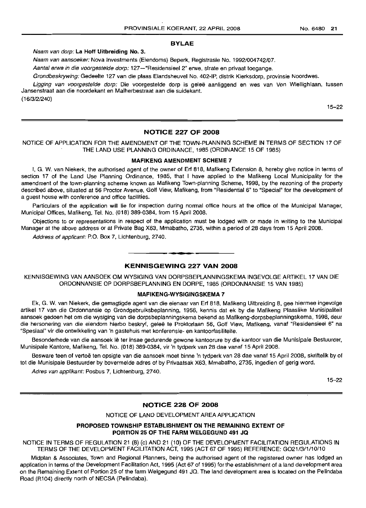# BVLAE

Naam van dorp: La Hoff Uitbreiding No. 3.

Naam van aansoeker: Nova Investments (Eiendoms) Beperk, Registrasie No. 1992/004742/07.

Aantal erwe in die voorgestelde dorp: 127-"Residensieel 2" erwe, strate en privaat toegange.

Grondbeskrywing: Gedeelte 127 van die plaas Elandsheuvel No. 402-IP, distrik Klerksdorp, provinsie Noordwes.

Ligging van voorgestelde dorp: Die voorgestelde dorp is geleë aanliggend en wes van Von Wiellighlaan, tussen Jansenstraat aan die noordekant en Malherbestraat aan die suidekant.

(16/3/2/240)

15-22

#### NOTICE 227 OF 2008

### NOTICE OF APPLICATION FOR THE AMENDMENT OF THE TOWN-PLANNING SCHEME IN TERMS OF SECTION 17 OF THE LAND USE PLANNING ORDINANCE, 1985 (ORDINANCE 15 OF 1985)

#### MAFIKENG AMENDMENT SCHEME 7

I, G. W. van Niekerk, the authorised agent of the owner of Erf 818, Mafikeng Extension 8, hereby give notice in terms of section 17 of the Land Use Planning Ordinance, 1985, that I have applied to the Mafikeng Local Municipality for the amendment of the town-planning scheme known as Mafikeng Town-planning Scheme, 1998, by the rezoning of the property described above, situated at 56 Proctor Avenue, Golf View, Mafikeng, from "Residential 6" to "Special" for the development of a guest house with conference and office facilities.

Particulars of the application will lie for inspection during normal office hours at the office of the Municipal Manager, Municipal Offices, Mafikeng, Tel. No. (018) 389-0384, from 15 April 2008.

Objections to or representations in respect of the application must be lodged with or made in writing to the Municipal Manager at the above address or at Private Bag X63, Mmabatho, 2735, within a period of 28 days from 15 April 2008.

Address of applicant: P.O. Box 7, Lichtenburg, 2740.

## KENNISGEWING 227 VAN 2008

KENNISGEWING VAN AANSOEK OM WYSIGING VAN DORPSBEPLANNINGSKEMA INGEVOLGE ARTIKEL 17 VAN DIE ORDONNANSIE OP DORPSBEPLANNING EN DORPE, 1985 (ORDONNANSIE 15 VAN 1985)

#### MAFIKENG-WYSIGINGSKEMA 7

Ek, G. W. van Niekerk, die gemagtigde agent van die eienaar van Erf 818, Mafikeng Uitbreiding 8, gee hiermee ingevolge artikel 17 van die Ordonnansie op Grondgebruiksbeplanning, 1956, kennis dat ek by die Mafikeng Plaaslike Munisipaliteit aansoek gedoen het om die wysiging van die dorpsbeplanningskema bekend as Mafikeng-dorpsbeplanningskema, 1998, deur die hersonering van die eiendom hierbo beskryf, geleë te Proktorlaan 56, Golf View, Mafikeng, vanaf "Residensieel 6" na "Spesiaal" vir die ontwikkeling van 'n gastehuis met konferensie- en kantoorfasiliteite.

Besonderhede van die aansoek lê ter insae gedurende gewone kantoorure by die kantoor van die Munisipale Bestuurder, Munisipale Kantore, Mafikeng, Tel. No. (018) 389-0384, vir 'n tydperk van 28 dae vanaf 15 April 2008.

Besware teen of vertoë ten opsigte van die aansoek moet binne 'n tydperk van 28 dae vanaf 15 April 2008, skriftelik by of tot die Munisipale Bestuurder by bovermelde adres of by Privaatsak X63, Mmabatho, 2735, ingedien of gerig word.

Adres van applikant: Posbus 7, Lichtenburg, 2740.

15-22

# NOTICE 228 OF 2008

NOTICE OF LAND DEVELOPMENT AREA APPLICATION

#### PROPOSED TOWNSHIP ESTABLISHMENT ON THE REMAINING EXTENT OF PORTION 25 OF THE FARM WELGEGUND 491 JQ

NOTICE IN TERMS OF REGULATION 21 (8) (c) AND 21 (10) OF THE DEVELOPMENT FACILITATION REGULATIONS IN TERMS OF THE DEVELOPMENT FACILITATION ACT, 1995 (ACT 67 OF 1995) REFERENCE: G021 /3/1 /10/10

Midplan & Associates, Town and Regional Planners, being the authorised agent of the registered owner has lodged an application in terms of the Development Facilitation Act, 1995 (Act 67 of 1995) for the establishment of a land development area on the Remaining Extent of Portion 25 of the farm Welgegund 491 JQ. The land development area is located on the Pelindaba Road (R104) directly north of NECSA (Pelindaba).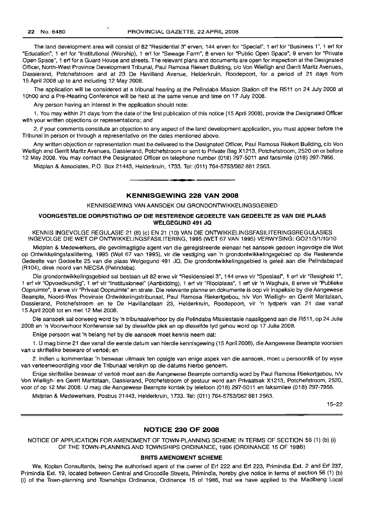The land development area will consist of 82 "Residential 3" erven, 144 erven for "Special", 1 ert for "Business 1", 1 ert for "Education", 1 ert for "Institutional (Worship), 1 ert for "Sewage Farm", 8 erven for "Public Open Space", 9 erven for "Private Open Space", 1 ert for a Guard House and streets. The relevant plans and documents are open for inspection at the Designated Officer, North-West Province Development Tribunal, Paul Ramosa Riekert Building, c/o Von Wielligh and Gerrit Maritz Avenues, Dassierand, Potchefstroom and at 23 De Havilland Avenue, Helderkruin, Roodepoort, for a period of 21 days from 15 April 2008 up to and including 12 May 2008.

The application will be considered at a tribunal hearing at the Pelindaba Mission Station off the R511 on 24 July 2008 at 10hOO and a Pre-Hearing Conference will be held at the same venue and time on 17 July 2008.

Any person having an interest in the application should note:

1. You may within 21 days from the date of the first publication of this notice (15 April 2008), provide the Designated Officer with your written objections or representations; and

2. if your comments constitute an objection to any aspect of the land development application, you must appear before the Tribunal in person or through a representative on the dates mentioned above.

Any written objection or representation must be delivered to the Designated Officer, Paul Ramosa Riekert Building, c/o Von Wielligh and Gerrit Maritz Avenues, Dassierand, Potchefstroom or sent to Private Bag X1213, Potchefstroom, 2520 on or before 12 May 2008. You may contact the Designated Officer on telephone number (018) 297-5011 and facsimile (018) 297-7956.

Midplan & Associates, P.O. Box 21443, Helderkruin, 1733. Tel: (011) 764-5753/082881 2563 .

# KENNISGEWING 228 VAN 2008

**• I**

#### KENNISGEWING VAN AANSOEK OM GRONDONTWIKKELINGSGEBIED

#### VOORGESTELDE DORPSTIGTING OP DIE RESTERENDE GEDEELTE VAN GEDEELTE 25 VAN DIE PLAAS WELGEGUND 491 JQ

KENNIS INGEVOLGE REGULASIE 21 (8) (c) EN 21 (10) VAN DIE ONTWIKKELlNGSFASILITERINGSREGULASIES INGEVOLGE DIE WET OP ONTWIKKELlNGSFASILITERING, 1995 (WET 67 VAN 1995) VERWYSING: G021 13/1/10/1 0

Midplan & Medewerkers, die gevolmagtigde agent van die geregistreerde eienaar het aansoek gedoen ingevolge die Wet op Ontwikkelingsfasilitering, 1995 (Wet 67 van 1995), vir die vestiging van 'n grondontwikkelingsgebied op die Resterende Gedeelte van Gedeelte 25 van die plaas Welgegund 491 JQ. Die grondontwikkelingsgebied is gelee aan die Pelindabapad (R104), direk noord van NECSA (Pelindaba).

Die grondontwikkelingsgebied sal bestaan uit 82 erwe vir "Residensieel 3", 144 erwe vir "Spesiaal", 1 ert vir "Besigheid 1", 1 ert vir "Opvoedkundig", 1 ert vir "Institusioneel" (Aanbidding), 1 ert vir "Rioolplaas", 1 ert vir 'n Waghuis, 8 erwe vir "Publieke Oopruimte", 9 erwe vir "Privaat Oopruimte" en strate. Die relevante planne en dokumente is oop vir inspeksie by die Aangewese Beampte, Noord-Wes Provinsie Ontwikkelingstribunaal, Paul Ramosa Riekertgebou, h/v Von Wielligh- en Gerrit Maritzlaan, Dassierand, Potchefstroom en te De Havillandlaan 23, Helderkruin, Roodepoort, vir 'n tydperk van 21 dae vanaf 15 April 2008 tot en met 12 Mei 2008.

Die aansoek sal oorweeg word by 'n tribunaalverhoor by die Pelindaba Missiestasie naasliggend aan die R511, op 24 Julie 2008 en 'n Voorverhoor Konferensie sal by dieselfde plek en op dieselfde tyd gehou word op 17 Julie 2008.

Enige persoon wat 'n belang het by die aansoek moet kennis neem dat:

1. U mag binne 21 dae vanaf die eerste datum van hierdie kennisgewing (15 April 2008), die Aangewese Beampte voorsien van u skriftelike besware of vertoë; en

2. indien u kommentaar 'n beswaar uitmaak ten opsigte van enige aspek van die aansoek, moet u persoonlik of by wyse van verteenwoordiging voor die Tribunaal verskyn op die datums hierbo genoem.

Enige skriftelike beswaar of vertoë moet aan die Aangewese Beampte oorhandig word by Paul Ramosa Riekertgebou, h/v Von Wielligh- en Gerrit Maritzlaan, Dassierand, Potchefstroom of gestuur word aan Privaatsak X1213, Potchefstroom, 2520, voor of op 12 Mei 2008. U mag die Aangewese Beampte kontak by telefoon (018) 297-5011 en faksimilee (018) 297-7956.

Midplan & Medewerkers, Posbus 21443, Helderkruin, 1733. Tel: (011) 764-5753/082881 2563.

15-22

#### NOTICE 230 OF 2008

NOTICE OF APPLICATION FOR AMENDMENT OF TOWN-PLANNING SCHEME IN TERMS OF SECTION 56 (1) (b) (i) OF THE TOWN-PLANNING AND TOWNSHIPS ORDINANCE, 1986 (ORDINANCE 15 OF 1986)

#### BRITS AMENDMENT SCHEME

We, Koplan Consultants, being the authorised agent of the owner of Ert 222 and Ert 223, Primindia Ext. 2 and Ert 237, Primindia Ext. 19, located between Central and Crocodile Streets, Primindia, hereby give notice in terms of section 56 (1) (b) (i) of the Town-planning and Townships Ordinance, Ordinance 15 of 1986, that we have applied to the Madibeng Local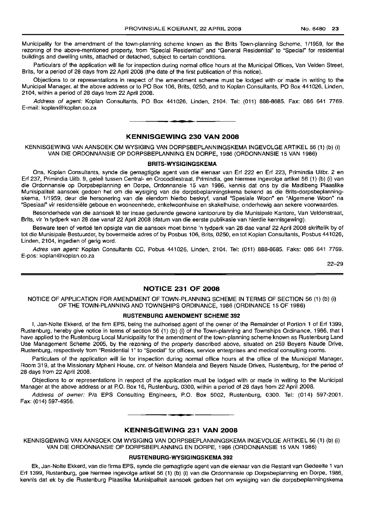Municipality for the amendment of the town-planning scheme known as the Brits Town-planning Scheme, 1/1959, for the rezoning of the above-mentioned property, from "Special Residential" and "General Residential" to "Special" for residential buildings and dwelling units, attached or detached, subject to certain conditions.

Particulars of the application will lie for inspection during normal office hours at the Municipal Offices, Van Velden Street, Brits, for a period of 28 days from 22 April 2008 (the date of the first publication of this notice).

Objections to or representations in respect of the amendment scheme must be lodged with or made in writing to the Municipal Manager, at the above address or to PO Box 106, Brits, 0250, and to Koplan Consultants, PO Box 441026, Linden, 2104, within a period of 28 days from 22 April 2008.

Address of agent: Koplan Consultants, PO Box 441026, Linden, 2104. Tel: (011) 888-8685. Fax: 086 641 7769. E-mail: koplan@koplan.co.za

#### KENNISGEWING 230 VAN 2008

**• •**

KENNISGEWING VAN AANSOEK OM WYSIGING VAN DORPSBEPLANNINGSKEMA INGEVOLGE ARTIKEL 56 (1) (b) (i) VAN DIE ORDONNANSIE OP DORPSBEPLANNING EN DORPE, 1986 (ORDONNANSIE 15 VAN 1986)

#### BRITS-WYSIGINGSKEMA

Ons, Koplan Consultants, synde die gemagtigde agent van die eienaar van Erf 222 en Erf 223, Primindia Uitbr. 2 en Erf 237, Primindia Uitb. 9, gelee tussen Central- en Crocodilestraat, Primindia, gee hiermee ingevolge artikel 56 (1) (b) (i) van die Ordonnansie op Dorpsbeplanning en Dorpe, Ordonnansie 15 van 1986, kennis dat ons by die Madibeng Plaaslike Munisipaliteit aansoek gedoen het om die wysiging van die dorpsbeplanningskema bekend as die Brits-dorpsbeplanningskema, 1/1959, deur die hersonering van die eiendom hierbo beskryf, vanaf "Spesiale Woon" en "Algemene Woon" na "Spesiaal" vir residensiele geboue en wooneenhede, enkelwoonhuise en skakelhuise, onderhewig aan sekere voorwaardes.

Besonderhede van die aansoek Ie ter insae gedurende gewone kantoorure by die Munisipale Kantore, Van Veldenstraat, Brits, vir 'n tydperk van 28 dae vanaf 22 April 2008 (datum van die eerste publikasie van hierdie kennisgewing).

Besware teen of vertoë ten opsigte van die aansoek moet binne 'n tydperk van 28 dae vanaf 22 April 2008 skriftelik by of tot die Munisipale Bestuurder, by bovermelde adres of by Posbus 106, Brits, 0250, en tot Koplan Consultants, Posbus 441026, Linden, 2104, ingedien of gerig word.

Adres van agent: Koplan Consultants CC, Pobus 441026, Linden, 2104. Tel: (011) 888-8685. Faks: 086 641 7769. E-pos: koplan@koplan.co.za

22-29

# NOTICE 231 OF 2008

NOTICE OF APPLICATION FOR AMENDMENT OF TOWN-PLANNING SCHEME IN TERMS OF SECTION 56 (1) (b) (i) OF THE TOWN-PLANNING AND TOWNSHIPS ORDINANCE, 1986 (ORDINANCE 15 OF 1986)

# RUSTENBURG AMENDMENT SCHEME 392

I, Jan-Nolte Ekkerd, of the firm EPS, being the authorised agent of the owner of the Remainder of Portion 1 of Erf 1399, Rustenburg, hereby give notice in terms of section 56 (1) (b) (i) of the Town-planning and Townships Ordinance, 1986, that I have applied to the Rustenburg Local Municipality for the amendment of the town-planning scheme known as Rustenburg Land Use Management Scheme 2005, by the rezoning of the property described above, situated on 259 Beyers Naude Drive, Rustenburg, respectively from "Residential 1" to "Special" for offices, service enterprises and medical consulting rooms.

Particulars of the application will lie for inspection during normal office hours at the office of the Municipal Manager, Room 319, at the Missionary Mpheni House, cnr. of Nelson Mandela and Beyers Naude Drives, Rustenburg, for the period of 28 days from 22 April 2008.

Objections to or representations in respect of the application must be lodged with or made in writing to the Municipal Manager at the above address or at P.O. Box 16, Rustenburg, 0300, within a period of 28 days from 22 April 2008.

Address of owner: Pia EPS Consulting Engineers, P.O. Box 5002, Rustenburg, 0300. Tel: (014) 597-2001. Fax: (014) 597-4956.

**• •**

#### KENNISGEWING 231 VAN 2008

KENNISGEWING VAN AANSOEK OM WYSIGING VAN DORPSBEPLANNINGSKEMA INGEVOLGE ARTIKEL 56 (1) (b) (i) VAN DIE ORDONNANSIE OP DORPSBEPLANNING EN DORPE, 1986 (ORDONNANSIE 15 VAN 1986)

#### RUSTENBURG-WYSIGINGSKEMA 392

Ek, Jan-Nolte Ekkerd, van die firma EPS, synde die gemagtigde agent van die eienaar van die Restant van Gedeelte 1 van Erf 1399, Rustenburg, gee hiermee ingevolge artikel 56 (1) (b) (i) van die Ordonnansie op Dorpsbeplanning en Dorpe, 1986, kennis dat ek by die Rustenburg Plaaslike Munisipaliteit aansoek gedoen het om wysiging van die dorpsbeplanningskema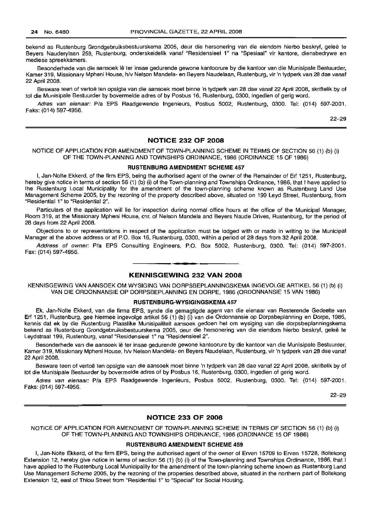bekend as Rustenburg Grondgebruiksbestuurskema 2005, deur die hersonering van die eiendom hierbo beskryf, geleë te Beyers Nauderylaan 259, Rustenburg, onderskeidelik vanaf "Residensieel 1" na "Spesiaal" vir kantore, diensbedrywe en mediese spreekkamers.

Besonderhede van die aansoek lê ter insae gedurende gewone kantoorure by die kantoor van die Munisipale Bestuurder, Kamer 319, Missionary Mpheni House, h/v Nelson Mandela- en Beyers Naudelaan, Rustenburg, vir 'n tydperk van 28 dae vanaf 22 April 2008.

Besware teen of vertoë ten opsigte van die aansoek moet binne 'n tydperk van 28 dae vanaf 22 April 2008, skriftelik by of tot die Munisipale Bestuurder by bovermelde adres of by Posbus 16, Rustenburg, 0300, ingedien of gerig word.

Adres van eienaar: Pia EPS Raadgewende Ingenieurs, Posbus 5002, Rustenburg, 0300. Tel: (014) 597-2001. Faks: (014) 597-4956.

22-29

#### NOTICE 232 OF 2008

#### NOTICE OF APPLICATION FOR AMENDMENT OF TOWN-PLANNING SCHEME IN TERMS OF SECTION 56 (1) (b) (i) OF THE TOWN-PLANNING AND TOWNSHIPS ORDINANCE, 1986 (ORDINANCE 15 OF 1986)

#### RUSTENBURG AMENDMENT SCHEME 457

I, Jan-Nolte Ekkerd, of the firm EPS, being the authorised agent of the owner of the Remainder of Erf 1251, Rustenburg, hereby give notice in terms of section 56 (1) (b) (i) of the Town-planning and Townships Ordinance, 1986, that I have applied to the Rustenburg Local Municipality for the amendment of the town-planning scheme known as Rustenburg Land Use Management Scheme 2005, by the rezoning of the property described above, situated on 199 Leyd Street, Rustenburg, from "Residential 1" to "Residential 2".

Particulars of the application will lie for inspection during normal office hours at the office of the Municipal Manager, Room 319, at the Missionary Mpheni House, em. of Nelson Mandela and Beyers Naude Drives, Rustenburg, for the period of 28 days from 22 April 2008.

Objections to or representations in respect of the application must be lodged with or made in writing to the Municipal Manager at the above address or at P.O. Box 16, Rustenburg, 0300, within a period of 28 days from 32 April 2008.

Address of owner: Pia EPS Consulting Engineers, P.O. Box 5002, Rustenburg, 0300. Tel: (014) 597-2001. Fax: (014) 597-4956.

# KENNISGEWING 232 VAN 2008

**• •**

KENNISGEWING VAN AANSOEK OM WYSIGING VAN DORPSBEPLANNINGSKEMA INGEVOLGE ARTIKEL 56 (1) (b) (i) VAN DIE ORDONNANSIE OP DORPSBEPLANNING EN DORPE, 1986 (ORDONNANSIE 15 VAN 1986)

#### RUSTENBURG-WYSIGINGSKEMA 457

Ek, Jan-Nolte Ekkerd, van die firma EPS, synde die gemagtigde agent van die eienaar van Resterende Gedeelte van Erf 1251, Rustenburg, gee hiermee ingevolge artikel 56 (1) (b) (i) van die Ordonnansie op Dorpsbeplanning en Dorpe, 1986, kennis dat ek by die Rustenburg Plaaslike Munisipaliteit aansoek gedoen het om wysiging van die dorpsbeplanningskema bekend as Rustenburg Grondgebruiksbestuurskema 2005, deur die hersonering van die eiendom hierbo beskryf, geleë te Leydstraat 199, Rustenburg, vanaf "Residensieel 1" na "Residensieel 2".

Besonderhede van die aansoek lê ter insae gedurende gewone kantoorure by die kantoor van die Munisipale Bestuurder, Kamer 319, Missionary Mpheni House, h/v Nelson Mandela- en Beyers Naudelaan, Rustenburg, vir 'n tydperk van 28 dae vanaf 22 April 2008.

Besware teen of vertoë ten opsigte van die aansoek moet binne 'n tydperk van 28 dae vanaf 22 April 2008, skriftelik by of tot die Munisipale Bestuurder by bovermelde adres of by Posbus 16, Rustenburg, 0300, ingedien of gerig word.

Adres van eienaar: Pia EPS Raadgewende Ingenieurs, Posbus 5002, Rustenburg, 0300. Tel: (014) 597-2001. Faks: (014) 597-4956.

22-29

### NOTICE 233 OF 2008

NOTICE OF APPLICATION FOR AMENDMENT OF TOWN-PLANNING SCHEME IN TERMS OF SECTION 56 (1) (b) (i) OF THE TOWN-PLANNING AND TOWNSHIPS ORDINANCE, 1986 (ORDINANCE 15 OF 1986)

#### RUSTENBURG AMENDMENT SCHEME 459

I, Jan-Nolte Ekkerd, of the firm EPS, being the authorised agent of the owner of Erven 15709 to Erven 15728, Boitekong Extension 12, hereby give notice in terms of section 56 (1) (b) (i) of the Town-planning and Townships Ordinance, 1986, that I have applied to the Rustenburg Local Municipality for the amendment of the town-planning scheme known as Rustenburg Land Use Management Scheme 2005, by the rezoning of the properties described above, situated in the northern part of Boitekong Extension 12, east of Thlou Street from "Residential 1" to "Special" for Social Housing.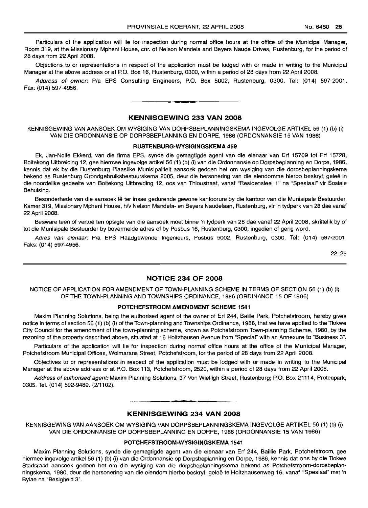Particulars of the application will lie for inspection during normal office hours at the office of the Municipal Manager, Room 319, at the Missionary Mpheni House, cnr, of Nelson Mandela and Beyers Naude Drives, Rustenburg, for the period of 28 days from 22 April 2008.

Objections to or representations in respect of the application must be lodged with or made in writing to the Municipal Manager at the above address or at P.O. Box 16, Rustenburg, 0300, within a period of 28 days from 22 April 2008.

Address of owner: Pia EPS Consulting Engineers, P.O. Box 5002, Rustenburg, 0300. Tel: (014) 597-2001. Fax: (014) 597-4956. **-.**

# KENNISGEWING 233 VAN 2008

KENNISGEWING VAN AANSOEK OM WYSIGING VAN DORPSBEPLANNINGSKEMA INGEVOLGE ARTIKEL 56 (1) (b) (i) VAN DIE ORDONNANSIE OP DORPSBEPLANNING EN DORPE, 1986 (ORDONNANSIE 15 VAN 1986)

#### RUSTENBURG-WYSIGINGSKEMA 459

Ek, Jan-Nolte Ekkerd, van die firma EPS, synde die gemagtigde agent van die eienaar van Erf 15709 tot Erf 15728, Boitekong Uitbreiding 12, gee hiermee ingevolge artikel 56 (1) (b) (i) van die Ordonnansie op Dorpsbeplanning en Dorpe, 1986, kennis dat ek by die Rustenburg Plaaslike Munisipaliteit aansoek gedoen het om wysiging van die dorpsbeplanningskema bekend as Rustenburg Grondgebruiksbestuurskema 2005, deur die hersonering van die eiendomme hierbo beskryf, geleë in die noordelike gedeelte van Boitekong Uitbreiding 12, oos van Thloustraat, vanaf "Residensieel 1" na "Spesiaal" vir Sosiale Behuising.

Besonderhede van die aansoek lê ter insae gedurende gewone kantoorure by die kantoor van die Munisipale Bestuurder, Kamer 319, Missionary Mpheni House, *hlv* Nelson Mandela- en Beyers Naudelaan, Rustenburg, vir 'n tydperk van 28 dae vanaf 22 April 2008.

Besware teen of vertoë ten opsigte van die aansoek moet binne 'n tydperk van 28 dae vanaf 22 April 2008, skriftelik by of tot die Munisipale Bestuurder by bovermelde adres of by Posbus 16, Rustenburg, 0300, ingedien of gerig word.

Adres van eienaar: Pia EPS Raadgewende Ingenieurs, Posbus 5002, Rustenburg, 0300. Tel: (014) 597-2001. Faks: (014) 597-4956.

22-29

# NOTICE 234 OF 2008

NOTICE OF APPLICATION FOR AMENDMENT OF TOWN-PLANNING SCHEME IN TERMS OF SECTION 56 (1) (b) (i) OF THE TOWN-PLANNING AND TOWNSHIPS ORDINANCE, 1986 (ORDINANCE 15 OF 1986)

#### POTCHEFSTROOM AMENDMENT SCHEME 1541

Maxim Planning Solutions, being the authorised agent of the owner of Erf 244, Bailie Park, Potchefstroom, hereby gives notice in terms of section 56 (1) (b) (i) of the Town-planning and Townships Ordinance, 1986, that we have applied to the Tlokwe City Council for the amendment of the town-planning scheme, known as Potchefstroom Town-planning Scheme, 1980, by the rezoning of the property described above, situated at 16 Holtzhausen Avenue from "Special" with an Annexure to "Business 3".

Particulars of the application will lie for inspection during normal office hours at the office of the Municipal Manager, Potchefstroom Municipal Offices, Wolmarans Street, Potchefstroom, for the period of 28 days from 22 April 2008.

Objectives to or representations in respect of the application must be lodged with or made in writing to the Municipal Manager at the above address or at P.O. Box 113, Potchefstroom, 2520, within a period of 28 days from 22 April 2008.

Address of authorised agent: Maxim Planning Solutions, 37 Von Wielligh Street, Rustenburg; P.O. Box 21114, Proteapark, 0305. Tel. (014) 592-9489. (2/1102).

# **•** KENNISGEWING 234 VAN 2008

KENNISGEWING VAN AANSOEK OM WYSIGING VAN DORPSBEPLANNINGSKEMA INGEVOLGE ARTIKEL 56 (1) (b) (i) VAN DIE ORDONNANSIE OP DORPSBEPLANNING EN DORPE, 1986 (ORDONNANSIE 15 VAN 1986)

#### POTCHEFSTROOM-WYSIGINGSKEMA 1541

Maxim Planning Solutions, synde die gemagtigde agent van die eienaar van Erf 244, Baillie Park, Potchefstroom, gee hiermee ingevolge artikel 56 (1) (b) (i) van die Ordonnansie op Dorpsbeplanning en Dorpe, 1986, kennis dat ons by die Tlokwe Stadsraad aansoek gedoen het om die wysiging van die dorpsbeplanningskema bekend as Potchefstroom-dorpsbeplanningskema, 1980, deur die hersonering van die eiendom hierbo beskryf, gelee te Holtzhausenweg 16, vanaf "Spesiaal" met 'n Bylae na "Besigheid 3".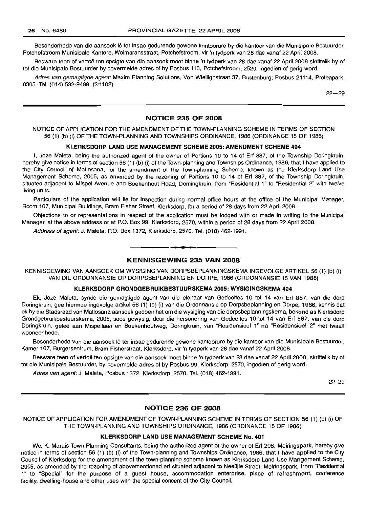Besonderhede van die aansoek lê ter insae gedurende gewone kantoorure by die kantoor van die Munisipale Bestuurder, Potchefstroom Munisipale Kantore, Wolmaransstraat, Potchefstroom, vir 'n tydperk van 28 dae vanaf 22 April 2008.

Besware teen of vertoë ten opsigte van die aansoek moet binne 'n tydperk van 28 dae vanaf 22 April 2008 skriftelik by of tot die Munisipale Bestuurder by bovermelde adres of by Posbus 113, Potchefstroom, 2520, ingedien of gerig word.

Adres van gemagtigde agent: Maxim Planning Solutions, Von Wiellighstraat 37, Rustenburg; Posbus 21114, Proteapark, 0305. Tel. (014) 592-9489. (2/1102).

 $22 - 29$ 

# NOTICE 235 OF 2008

## NOTICE OF APPLICATION FOR THE AMENDMENT OF THE TOWN-PLANNING SCHEME IN TERMS OF SECTION 56 (1) (b) (i) OF THE TOWN-PLANNING AND TOWNSHIPS ORDINANCE, 1986 (ORDINANCE 15 OF 1986)

#### KLERKSDORP LAND USE MANAGEMENT SCHEME 2005: AMENDMENT SCHEME 404

I, Joze Maleta, being the authorized agent of the owner of Portions 10 to 14 of Erf 887, of the Township Doringkruin, hereby give notice in terms of section 56 (1) (b) (i) of the Town-planning and Townships Ordinance, 1986, that I have applied to the City Council of Matlosana, for the amendment of the Town-planning Scheme, known as the Klerksdorp Land Use Management Scheme, 2005, as amended by the rezoning of Portions 10 to 14 of Erf 887, of the Township Doringkruin, situated adjacent to Mispel Avenue and Boekenhout Road, Dorningkruin, from "Residential 1" to "Residential 2" with twelve living units.

Particulars of the application will lie for inspection during normal office hours at the office of the Municipal Manager, Room 107, Municipal Buildings, Bram Fisher Street, Klerksdorp, for a period of 28 days from 22 April 2008.

Objections to or representations in respect of the application must be lodged with or made in writing to the Municipal Manager, at the above address or at P.O. Box 99, Klerksdorp, 2570, within a period of 28 days from 22 April 2008.

Address of agent: J. Maleta, P.O. Box 1372, Klerksdorp, 2570. Tel. (018) 462-1991.

# KENNISGEWING 235 VAN 2008

**• •**

KENNISGEWING VAN AANSOEK OM WYSIGING VAN DORPSBEPLANNINGSKEMA INGEVOLGE ARTIKEL 56 (1) (b) (i) VAN DIE ORDONNANSIE OP DORPSBEPLANNING EN DORPE, 1986 (ORDONNANSIE 15 VAN 1986)

# KLERKSDORP GRONDGEBRUIKBESTUURSKEMA 2005: WYSIGINGSKEMA 404

Ek, Joze Maleta, synde die gemagtigde agent van die eienaar van Gedeeltes 10 tot 14 van Erf 887, van die dorp Doringkruin, gee hiermee ingevolge artikel 56 (1) (b) (i) van die Ordonnansie op Dorpsbeplanning en Dorpe, 1986, kennis dat ek by die Stadsraad van Matlosana aansoek gedoen het om die wysiging van die dorpsbeplanningskema, bekend as Klerksdorp Grondgebruikbestuurskema, 2005, soos gewysig, deur die hersonering van Gedeeltes 10 tot 14 van Erf 887, van die dorp Doringkruin, gelee aan Mispellaan en Boekenhoutweg, Doringkruin, van "Residensieel 1" na "Residensieel 2" met twaalf wooneenhede.

Besonderhede van die aansoek lê ter insae gedurende gewone kantoorure by die kantoor van die Munisipale Bestuurder, Kamer 107, Burgersentrum, Bram Fisherstraat, Klerksdorp, vir 'n tydperk van 28 dae vanaf 22 April 2008.

Besware teen of vertoë ten opsigte van die aansoek moet binne 'n tydperk van 28 dae vanaf 22 April 2008, skriftelik by of tot die Munisipale Bestuurder, by bovermelde adres of by Posbus 99, Klerksdorp, 2570, ingedien of gerig word.

Adres van agent: J. Maleta, Posbus 1372, Klerksdorp, 2570. Tel. (018) 462-1991.

22-29

#### NOTICE 236 OF 2008

NOTICE OF APPLICATION FOR AMENDMENT OF TOWN-PLANNING SCHEME IN TERMS OF SECTION 56 (1) (b) (i) OF THE TOWN-PLANNING AND TOWNSHIPS ORDINANCE, 1986 (ORDINANCE 15 OF 1986)

# KLERKSDORP LAND USE MANAGEMENT SCHEME No. 401

We, K. Marais Town Planning Consultants, being the authorized agent of the owner of Erf 208, Meiringspark, hereby give notice in terms of section 56 (1) (b) (i) of the Town-planning and Townships Ordinance, 1986, that I have applied to the City Council of Klerksdorp for the amendment of the town-planning scheme known as Klerksdorp Land Use Mangement Scheme, 2005, as amended by the rezoning of abovementioned erf situated adjacent to Neeltjie Street, Meiringspark, from "Residential 1" to "Special" for the purpose of a guest house, accommodation enterprise, place of refreshment, conference facility, dwelling-house and other uses with the special concent of the City Council.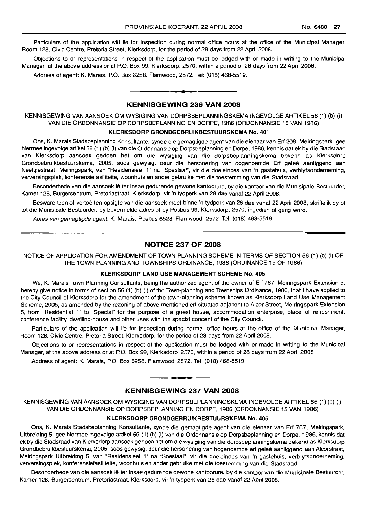Particulars of the application will lie for inspection during normal office hours at the office of the Municipal Manager, Room 128, Civic Centre, Pretoria Street, Klerksdorp, for the period of 28 days from 22 April 2008.

Objections to or representations in respect of the application must be lodged with or made in writing to the Municipal Manager, at the above address or at P.O. Box 99, Klerksdorp, 2570, within a period of 28 days from 22 April 2008.

Address of agent: K. Marais, P.O. Box 6258. Flamwood, 2572. Tel: (018) 468-5519.

# KENNISGEWING 236 VAN 2008

**•**

KENNISGEWING VAN AANSOEK OM WYSIGING VAN DORPSBEPLANNINGSKEMA INGEVOLGE ARTIKEL 56 (1) (b) (i) VAN DIE ORDONNANSIE OP DORPSBEPLANNING EN DORPE, 1986 (ORDONNANSIE 15 VAN 1986)

## KLERKSDORP GRONDGEBRlIlKBESTUURSKEMA No. 401

Ons, K. Marais Stadsbeplanning Konsultante, synde die gemagtigde agent van die eienaar van Erf 208, Meiringspark, gee hiermee ingevolge artikel 56 (1) (b) (i) van die Ordonnansie op Dorpsbeplanning en Dorpe, 1986, kennis dat ek by die Stadsraad van Klerksdorp aansoek gedoen het om die wysiging van die dorpsbeplanningskema bekend as Klerksdorp Grondbebruikbestuurskema, 2005, soos gewysig, deur die hersonering van bogenoemde Erf geleë aanliggend aan Neeltjiestraat, Meiringspark, van "Residensieel 1" na "Spesiaal", vir die doeleindes van 'n gastehuis, verblyfsonderneming, verversingsplek, konferensiefasiliteite, woonhuis en ander gebruike met die toestemming van die Stadsraad.

Besonderhede van die aansoek Ie ter insae gedurende gewone kantoorure, by die kantoor van die Munisipale Bestuurder, Kamer 128, Burgersentrum, Pretoriastraat, Klerksdorp, vir 'n tydperk van 28 dae vanaf 22 April 2008.

Besware teen of vertoë ten opsigte van die aansoek moet binne 'n tydperk van 28 dae vanaf 22 April 2008, skriftelik by of tot die Munisipale Bestuurder, by bovermelde adres of by Posbus 99, Klerksdorp, 2570, ingedien of gerig word.

Adres van gemagtigde agent: K. Marais, Posbus 6528, Flamwood, 2572. Tel: (018) 468-5519.

#### NOTICE 237 OF 2008

NOTICE OF APPLICATION FOR AMENDMENT OF TOWN-PLANNING SCHEME IN TERMS OF SECTION 56 (1) (b) (i) OF THE TOWN-PLANNING AND TOWNSHIPS ORDINANCE, 1986 (ORDINANCE 15 OF 1986)

#### KLERKSDORP LAND USE MANAGEMENT SCHEME No. 405

We, K. Marais Town Planning Consultants, being the authorized agent of the owner of Erf 767, Meiringspark Extension 5, hereby give notice in terms of section 56 (1) (b) (i) of the Town-planning and Townships Ordinance, 1986, that I have applied to the City Council of Klerksdorp for the amendment of the town-planning scheme known as Klerksdorp Land Use Management Scheme, 2005, as amended by the rezoning of above-mentioned erf situated adjacent to Alcor Street, Meiringspark Extension 5, from "Residential 1" to "Special" for the purpose of a guest house, accommodation enterprise, place of refreshment, conference facility, dwelling-house and other uses with the special concent of the City Council.

Particulars of the application will lie for inspection during normal office hours at the office of the Municipal Manager, Room 128, Civic Centre, Pretoria Street, Klerksdorp, for the period of 28 days from 22 April 2008.

Objections to or representations in respect of the application must be lodged with or made in writing to the Municipal Manager, at the above address or at P.O. Box 99, Klerksdorp, 2570, within a period of 28 days from 22 April 2008.

Address of agent: K. Marais, P.O. Box 6258. Flamwood, 2572. Tel: (018) 468-5519.

# KENNISGEWING 237 VAN 2008

**• •**

KENNISGEWING VAN AANSOEK OM WYSIGING VAN DORPSBEPLANNINGSKEMA INGEVOLGE ARTIKEL 56 (1) (b) (i) VAN DIE ORDONNANSIE OP DORPSBEPl.ANNING EN DORPE, 1986 (ORDONNANSIE 15 VAN 1986)

## KLERKSDORP GRONDGEBRUIKBESTUURSKEMA No. 405

Ons, K. Marais Stadsbeplanning Konsultante, synde die gemagtigde agent van die eienaar van Erf 767, Meiringspark, Uitbreiding 5, gee hiermee ingevolge artikel 56 (1) (b) (i) van die Ordonnansie op Dorpsbeplanning en Dorpe, 1986, kennis dat ek by die Stadsraad van Klerksdorp aansoek gedoen het om die wysiging van die dorpsbeplanningskema bekend as Klerksdorp Grondbebruikbestuurskema, 2005, soos gewysig, deur die hersonering van bogenoemde erf gelee aanliggend aan Alcorstraat, Meiringspark Uitbreiding 5, van "Residensieel 1" na "Spesiaal", vir die doeleindes van 'n gastehuis, verblyfsonderneming, verversingsplek, konferensiefasiliteite, woonhuis en ander gebruike met die toestemming van die Stadsraad.

Besonderhede van die aansoek Ie ter insae gedurende gewone kantoorure, by die kantoor van die Munisipale Bestuurder, Kamer 128, Burgersentrum, Pretoriastraat, Klerksdorp, vir 'n tydperk van 28 dae vanaf 22 April 2008.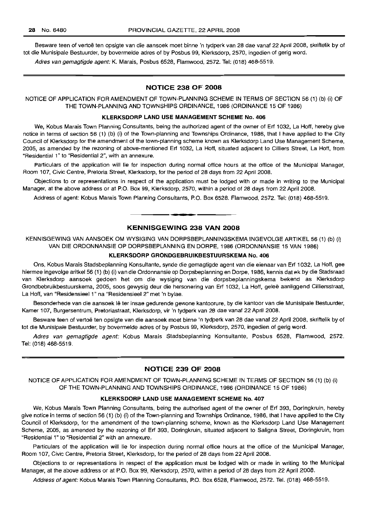Besware teen of vertoë ten opsigte van die aansoek moet binne 'n tydperk van 28 dae vanaf 22 April 2008, skriftelik by of tot die Munisipale Bestuurder, by bovermelde adres of by Posbus 99, Klerksdorp, 2570, ingedien of gerig word.

Adres van gemagtigde agent: K. Marais, Posbus 6528, Flamwood, 2572. Tel: (018) 468-5519.

# NOTICE 238 OF 2008

NOTICE OF APPLICATION FOR AMENDMENT OF TOWN-PLANNING SCHEME IN TERMS OF SECTION 56 (1) (b) (i) OF THE TOWN-PLANNING AND TOWNSHIPS ORDINANCE, 1986 (ORDINANCE 15 OF 1986)

#### KLERKSDORP LAND USE MANAGEMENT SCHEME No. 406

We, Kobus Marais Town Planning Consultants, being the authorized agent of the owner of Erf 1032, La Hoff, hereby give notice in terms of section 56 (1) (b) (i) of the Town-planning and Townships Ordinance, 1986, that I have applied to the City Council of Klerksdorp for the amendment of the town-planning scheme known as Klerksdorp Land Use Management Scheme, 2005, as amended by the rezoning of above-mentioned Erf 1032, La Hoff, situated adjacent to Cilliers Street, La Hoff, from "Residential 1" to "Residential 2", with an annexure.

Particulars of the application will lie for inspection during normal office hours at the office of the Municipal Manager, Room 107, Civic Centre, Pretoria Street, Klerksdorp, for the period of 28 days from 22 April 2008.

Objections to or representations in respect of the application must be lodged with or made in writing to the Municipal Manager, at the above address or at P.O. Box 99, Klerksdorp, 2570, within a period of 28 days from 22 April 2008.

Address of agent: Kobus Marais Town Planning Consultants, P.O. Box 6528. Flamwood, 2572. Tel: (018) 468-5519.

**• •**

# KENNISGEWING 238 VAN 2008

KENNISGEWING VAN AANSOEK OM WYSIGING VAN DORPSBEPLANNINGSKEMA INGEVOLGE ARTIKEL 56 (1) (b) (i) VAN DIE ORDONNANSIE OP DORPSBEPLANNING EN DORPE, 1986 (ORDONNANSIE 15 VAN 1986)

## KLERKSDORP GRONDGEBRUIKBESTUURSKEMA No. 406

Ons, Kobus Marais Stadsbeplanning Konsultante, synde die gemagtigde agent van die eienaar van Erf 1032, La Hoff, gee hiermee ingevolge aritkel 56 (1) (b) (i) van die Ordonnansie op Dorpsbeplanning en Dorpe, 1986, kennis dat ek by die Stadsraad van Klerksdorp aansoek gedoen het om die wysiging van die dorpsbeplanningskema bekend as Klerksdorp Grondbebruikbestuurskema, 2005, soos gewysig deur die hersonering van Erf 1032, La Hoff, gelee aanliggend Cilliersstraat, La Hoff, van "Residensieel 1" na "Residensieel 2" met 'n bylae.

Besonderhede van die aansoek Ie ter insae gedurende gewone kantoorure, by die kantoor van die Munisipale Bestuurder, Kamer 107, Burgersentrum, Pretoriastraat, Klerksdorp, vir 'n tydperk van 28 dae vanaf 22 April 2008.

Besware teen of vertoë ten opsigte van die aansoek moet binne 'n tydperk van 28 dae vanaf 22 April 2008, skriftelik by of tot die Munisipale Bestuurder, by bovermelde adres of by Posbus 99, Klerksdorp, 2570, ingedien of gerig word.

Adres van gemagtigde agent: Kobus Marais Stadsbeplanning Konsultante, Posbus 6528, Flamwood, 2572. Tel: (018) 468-5519.

#### NOTICE 239 OF 2008

NOTICE OF APPLICATION FOR AMENDMENT OF TOWN-PLANNING SCHEME IN TERMS OF SECTION 56 (1) (b) (i) OF THE TOWN-PLANNING AND TOWNSHIPS ORDINANCE, 1986 (ORDINANCE 15 OF 1986)

#### KLERKSDORP LAND USE MANAGEMENT SCHEME No. 407

We, Kobus Marais Town Planning Consultants, being the authorised agent of the owner of Erf 393, Doringkruin, hereby give notice in terms of section 56 (1) (b) (i) of the Town-planning and Townships Ordinance, 1986, that I have applied to the City Council of Klerksdorp, for the amendment of the town-planning scheme, known as the Klerksdorp Land Use Management Scheme, 2005, as amended by the rezoning of Erf 393, Doringkruin, situated adjacent to Saligna Street, Doringkruin, from "Residential 1" to "Residential 2" with an annexure.

Particulars of the application will lie for inspection during normal office hours at the office of the Municipal Manager, Room 107, Civic Centre, Pretoria Street, Klerksdorp, for the period of 28 days from 22 April 2008.

Objections to or representations in respect of the application must be lodged with or made in writing to the Municipal Manager, at the above address or at P.O. Box 99, Klerksdorp, 2570, within a period of 28 days from 22 April 2008.

Address of agent: Kobus Marais Town Planning Consultants, P.O. Box 6528, Flamwood, 2572. Tel. (018) 468-5519.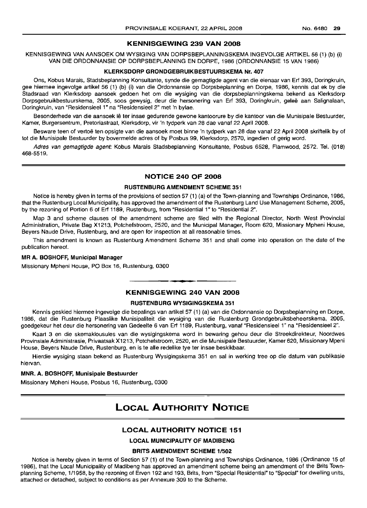#### KENNISGEWING 239 VAN 2008

KENNISGEWING VAN AANSOEK OM WYSIGING VAN DORPSBEPLANNINGSKEMA INGEVOLGE ARTIKEL 56 (1) (b) (i) VAN DIE ORDONNANSIE OP DORPSBEPLANNING EN DORPE, 1986 (ORDONNANSIE 15 VAN 1986)

## KLERKSDORP GRONDGEBRUIKBESTUURSKEMA Nr. 407

Ons, Kobus Marais, Stadsbeplanning Konsultante, synde die gemagtigde agent van die eienaar van Erf 393, Doringkruin, gee hiermee ingevolge artikel 56 (1) (b) (i) van die Ordonnansie op Dorpsbeplanning en Dorpe, 1986, kennis dat ek by die Stadsraad van Klerksdorp aansoek gedoen het om die wysiging van die dorpsbeplanningskema bekend as Klerksdorp Dorpsgebruikbestuurskema, 2005, soos gewysig, deur die hersonering van Erf 393, Doringkruin, gelee aan Salignalaan, Doringkruin, van "Residensieel 1" na "Residensieel 2" met 'n bylae.

Besonderhede van die aansoek lê ter insae gedurende gewone kantoorure by die kantoor van die Munisipale Bestuurder, Kamer, Burgersentrum, Pretoriastraat, Klerksdorp, vir 'n tydperk van 28 dae vanaf 22 April 2008.

Besware teen of vertoë ten opsigte van die aansoek moet binne 'n tydperk van 28 dae vanaf 22 April 2008 skriftelik by of tot die Munisipale Bestuurder by bovermelde adres of by Posbus 99, Klerksdorp, 2570, ingedien of gerig word.

Adres van gemagtigde agent: Kobus Marais Stadsbeplanning Konsultante, Posbus 6528, Flamwood, 2572. Tel. (018) 468-5519.

#### NOTICE 240 OF 2008

# RUSTENBURG AMENDMENT SCHEME 351

Notice is hereby given in terms of the provisions of section 57 (1) (a) of the Town-planning and Townships Ordinance, 1986, that the Rustenburg Local Municipality, has approved the amendment of the Rustenburg Land Use Management Scheme, 2005, by the rezoning of Portion 6 of Erf 1189, Rustenburg, from "Residential 1" to "Residential 2".

Map 3 and scheme clauses of the amendment scheme are filed with the Regional Director, North West Provincial Administration, Private Bag X1213, Potchefstroom, 2520, and the Municipal Manager, Room 620, Missionary Mpheni House, Beyers Naude Drive, Rustenburg, and are open for inspection at all reasonable times.

This amendment is known as Rustenburg Amendment Scheme 351 and shall come into operation on the date of the publication hereof.

#### MR A. BOSHOFF, Municipal Manager

Missionary Mpheni House, PO Box 16, Rustenburg, 0300

# **•** KENNISGEWING 240 VAN 2008

#### RUSTENBURG WVSIGINGSKEMA 351

Kennis geskied hiermee ingevolge die bepalings van artikel 57 (1) (a) van die Ordonnansie op Dorpsbeplanning en Dorpe, 1986, dat die Rustenburg Plaaslike Munisipaliteit die wysiging van die Rustenburg Grondgebruiksbeheerskema, 2005, goedgekeur het deur die hersonering van Gedeelte 6 van Erf 1189, Rustenburg, vanaf "Residensieel 1" na "Residensieel 2".

Kaart 3 en die skemaklousules van die wysigingskema word in bewaring gehou deur die Streekdirekteur, Noordwes Provinsiale Administrasie, Privaatsak X1213, Potchefstroom, 2520, en die Munisipale Bestuurder, Kamer 620, Missionary Mpeni House, Beyers Naude Drive, Rustenburg, en is te aile redelike tye ter insae beskikbaar.

Hierdie wysiging staan bekend as Rustenburg Wysigingskema 351 en sal in werking tree op die datum van publikasie hiervan.

#### MNR. A. BOSHOFF, Munisipale Bestuurder

Missionary Mpheni House, Posbus 16, Rustenburg, 0300

# LOCAL AUTHORITY NOTICE

#### LOCAL AUTHORITY NOTICE 151

# LOCAL MUNICIPALITY OF MADIBENG

#### BRITS AMENDMENT SCHEME 1/502

Notice is hereby given in terms of Section 57 (1) of the Town-planning and Townships Ordinance, 1986 (Ordinance 15 of 1986), that the Local Municipality of Madibeng has approved an amendment scheme being an amendment of the Brits Townplanning Scheme, 1/1958, by the rezoning of Erven 192 and 193, Brits, from "Special Residential" to "Special" for dwelling units, attached or detached, subject to conditions as per Annexure 309 to the Scheme.